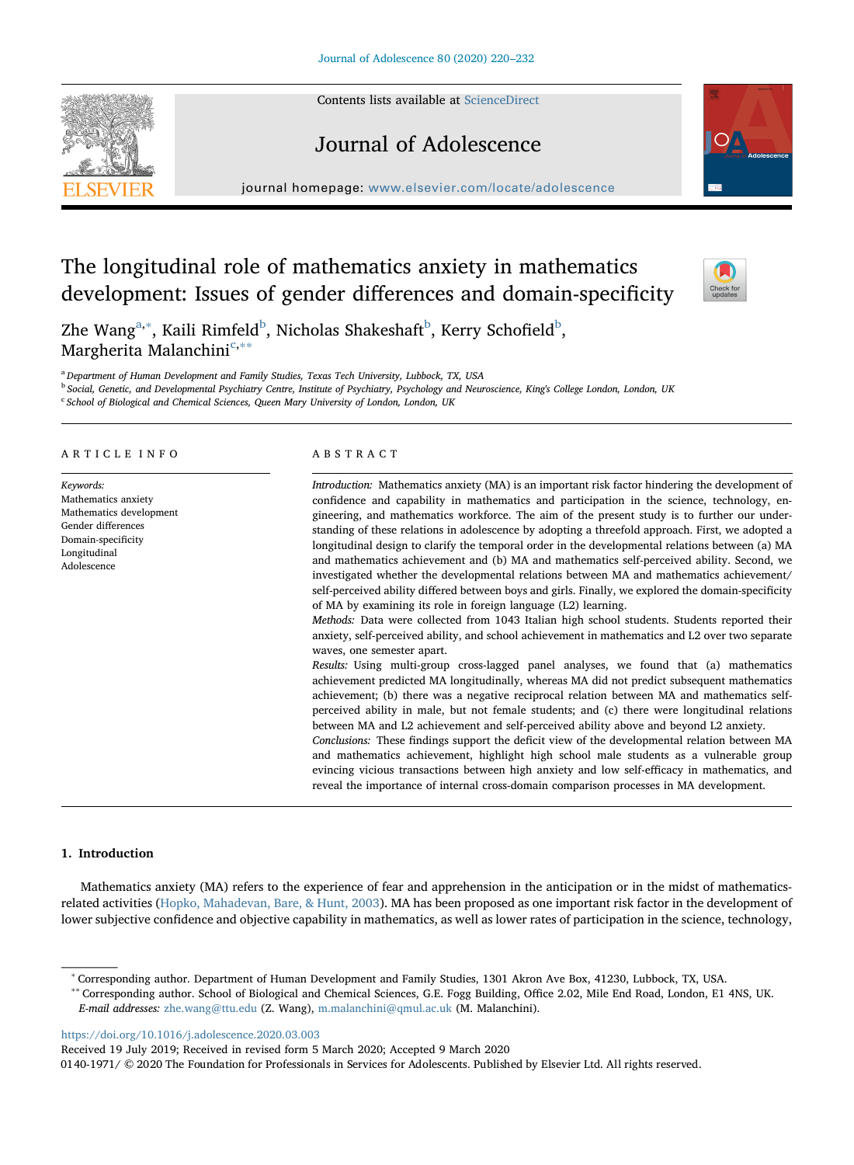Contents lists available at [ScienceDirect](http://www.sciencedirect.com/science/journal/01401971)

# Journal of Adolescence

journal homepage: [www.elsevier.com/locate/adolescence](https://www.elsevier.com/locate/adolescence)

# The longitudinal role of mathematics anxiety in mathematics development: Issues of gender differences and domain-specificity

Zhe Wang $a^*$ , Kaili Rimfeld $^b$  $^b$ , Nicholas Shakeshaft $^b$ , Kerry Schofield $^b$ , Margherita Malanchini<sup>[c,](#page-0-3)</sup> \*\*

<span id="page-0-0"></span><sup>a</sup> Department of Human Development and Family Studies, Texas Tech University, Lubbock, TX, USA

<span id="page-0-2"></span><sup>b</sup> Social, Genetic, and Developmental Psychiatry Centre, Institute of Psychiatry, Psychology and Neuroscience, King's College London, London, UK

<span id="page-0-3"></span><sup>c</sup> School of Biological and Chemical Sciences, Queen Mary University of London, London, UK

## ARTICLE INFO

Keywords: Mathematics anxiety Mathematics development Gender differences Domain-specificity Longitudinal Adolescence

## ABSTRACT

Introduction: Mathematics anxiety (MA) is an important risk factor hindering the development of confidence and capability in mathematics and participation in the science, technology, engineering, and mathematics workforce. The aim of the present study is to further our understanding of these relations in adolescence by adopting a threefold approach. First, we adopted a longitudinal design to clarify the temporal order in the developmental relations between (a) MA and mathematics achievement and (b) MA and mathematics self-perceived ability. Second, we investigated whether the developmental relations between MA and mathematics achievement/ self-perceived ability differed between boys and girls. Finally, we explored the domain-specificity of MA by examining its role in foreign language (L2) learning.

Methods: Data were collected from 1043 Italian high school students. Students reported their anxiety, self-perceived ability, and school achievement in mathematics and L2 over two separate waves, one semester apart.

Results: Using multi-group cross-lagged panel analyses, we found that (a) mathematics achievement predicted MA longitudinally, whereas MA did not predict subsequent mathematics achievement; (b) there was a negative reciprocal relation between MA and mathematics selfperceived ability in male, but not female students; and (c) there were longitudinal relations between MA and L2 achievement and self-perceived ability above and beyond L2 anxiety.

Conclusions: These findings support the deficit view of the developmental relation between MA and mathematics achievement, highlight high school male students as a vulnerable group evincing vicious transactions between high anxiety and low self-efficacy in mathematics, and reveal the importance of internal cross-domain comparison processes in MA development.

# 1. Introduction

Mathematics anxiety (MA) refers to the experience of fear and apprehension in the anticipation or in the midst of mathematicsrelated activities [\(Hopko, Mahadevan, Bare, & Hunt, 2003](#page-11-0)). MA has been proposed as one important risk factor in the development of lower subjective confidence and objective capability in mathematics, as well as lower rates of participation in the science, technology,

<https://doi.org/10.1016/j.adolescence.2020.03.003>

Received 19 July 2019; Received in revised form 5 March 2020; Accepted 9 March 2020

0140-1971/ © 2020 The Foundation for Professionals in Services for Adolescents. Published by Elsevier Ltd. All rights reserved.







<span id="page-0-4"></span><span id="page-0-1"></span><sup>∗</sup> Corresponding author. Department of Human Development and Family Studies, 1301 Akron Ave Box, 41230, Lubbock, TX, USA.

<sup>∗∗</sup> Corresponding author. School of Biological and Chemical Sciences, G.E. Fogg Building, Office 2.02, Mile End Road, London, E1 4NS, UK. E-mail addresses: [zhe.wang@ttu.edu](mailto:zhe.wang@ttu.edu) (Z. Wang), [m.malanchini@qmul.ac.uk](mailto:m.malanchini@qmul.ac.uk) (M. Malanchini).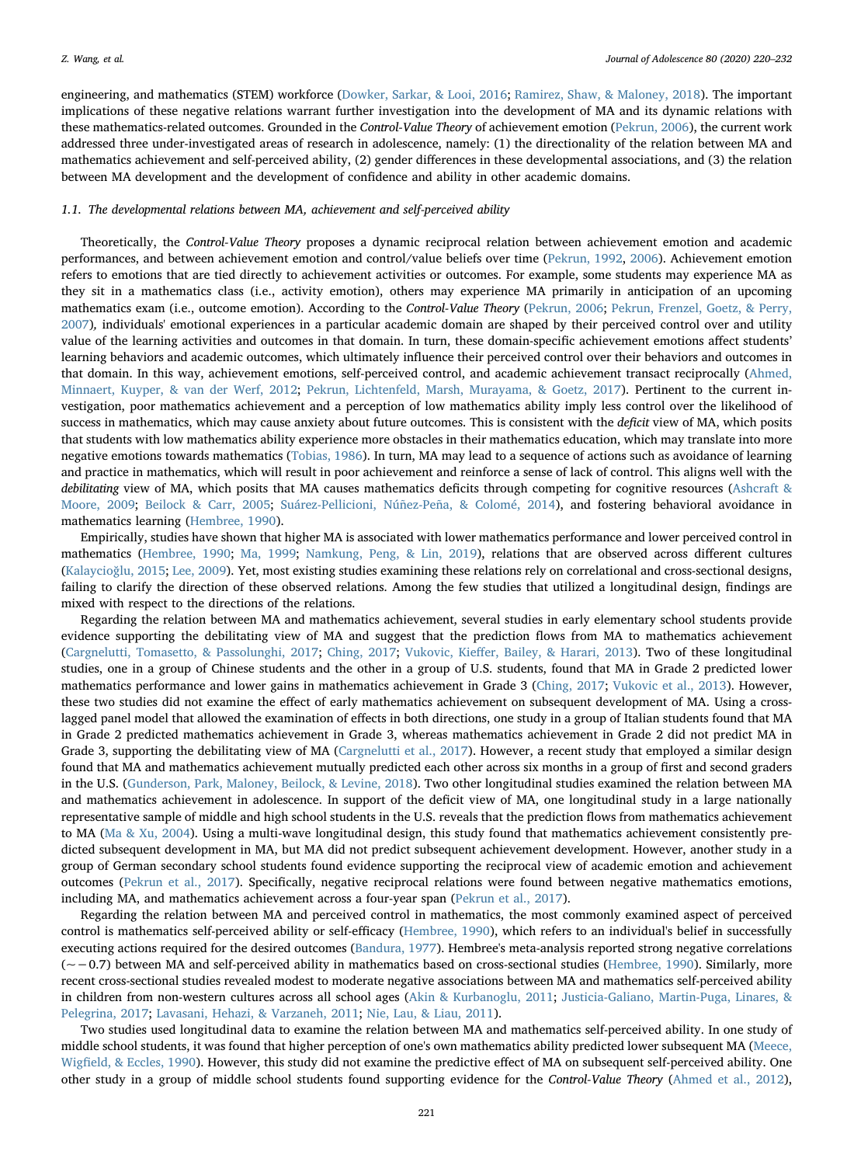engineering, and mathematics (STEM) workforce [\(Dowker, Sarkar, & Looi, 2016;](#page-11-1) [Ramirez, Shaw, & Maloney, 2018\)](#page-12-0). The important implications of these negative relations warrant further investigation into the development of MA and its dynamic relations with these mathematics-related outcomes. Grounded in the Control-Value Theory of achievement emotion [\(Pekrun, 2006](#page-12-1)), the current work addressed three under-investigated areas of research in adolescence, namely: (1) the directionality of the relation between MA and mathematics achievement and self-perceived ability, (2) gender differences in these developmental associations, and (3) the relation between MA development and the development of confidence and ability in other academic domains.

## 1.1. The developmental relations between MA, achievement and self-perceived ability

Theoretically, the Control-Value Theory proposes a dynamic reciprocal relation between achievement emotion and academic performances, and between achievement emotion and control/value beliefs over time [\(Pekrun, 1992](#page-12-2), [2006\)](#page-12-1). Achievement emotion refers to emotions that are tied directly to achievement activities or outcomes. For example, some students may experience MA as they sit in a mathematics class (i.e., activity emotion), others may experience MA primarily in anticipation of an upcoming mathematics exam (i.e., outcome emotion). According to the Control-Value Theory [\(Pekrun, 2006](#page-12-1); [Pekrun, Frenzel, Goetz, & Perry,](#page-12-3) [2007\)](#page-12-3), individuals' emotional experiences in a particular academic domain are shaped by their perceived control over and utility value of the learning activities and outcomes in that domain. In turn, these domain-specific achievement emotions affect students' learning behaviors and academic outcomes, which ultimately influence their perceived control over their behaviors and outcomes in that domain. In this way, achievement emotions, self-perceived control, and academic achievement transact reciprocally ([Ahmed,](#page-10-0) [Minnaert, Kuyper, & van der Werf, 2012;](#page-10-0) [Pekrun, Lichtenfeld, Marsh, Murayama, & Goetz, 2017](#page-12-4)). Pertinent to the current investigation, poor mathematics achievement and a perception of low mathematics ability imply less control over the likelihood of success in mathematics, which may cause anxiety about future outcomes. This is consistent with the deficit view of MA, which posits that students with low mathematics ability experience more obstacles in their mathematics education, which may translate into more negative emotions towards mathematics ([Tobias, 1986](#page-12-5)). In turn, MA may lead to a sequence of actions such as avoidance of learning and practice in mathematics, which will result in poor achievement and reinforce a sense of lack of control. This aligns well with the debilitating view of MA, which posits that MA causes mathematics deficits through competing for cognitive resources [\(Ashcraft &](#page-10-1) [Moore, 2009](#page-10-1); [Beilock & Carr, 2005](#page-10-2); [Suárez-Pellicioni, Núñez-Peña, & Colomé, 2014](#page-12-6)), and fostering behavioral avoidance in mathematics learning [\(Hembree, 1990](#page-11-2)).

Empirically, studies have shown that higher MA is associated with lower mathematics performance and lower perceived control in mathematics ([Hembree, 1990](#page-11-2); [Ma, 1999;](#page-11-3) [Namkung, Peng, & Lin, 2019](#page-11-4)), relations that are observed across different cultures ([Kalaycio](#page-11-5)ğlu, 2015; [Lee, 2009](#page-11-6)). Yet, most existing studies examining these relations rely on correlational and cross-sectional designs, failing to clarify the direction of these observed relations. Among the few studies that utilized a longitudinal design, findings are mixed with respect to the directions of the relations.

Regarding the relation between MA and mathematics achievement, several studies in early elementary school students provide evidence supporting the debilitating view of MA and suggest that the prediction flows from MA to mathematics achievement ([Cargnelutti, Tomasetto, & Passolunghi, 2017](#page-11-7); [Ching, 2017;](#page-11-8) Vukovic, Kieff[er, Bailey, & Harari, 2013\)](#page-12-7). Two of these longitudinal studies, one in a group of Chinese students and the other in a group of U.S. students, found that MA in Grade 2 predicted lower mathematics performance and lower gains in mathematics achievement in Grade 3 [\(Ching, 2017;](#page-11-8) [Vukovic et al., 2013](#page-12-7)). However, these two studies did not examine the effect of early mathematics achievement on subsequent development of MA. Using a crosslagged panel model that allowed the examination of effects in both directions, one study in a group of Italian students found that MA in Grade 2 predicted mathematics achievement in Grade 3, whereas mathematics achievement in Grade 2 did not predict MA in Grade 3, supporting the debilitating view of MA ([Cargnelutti et al., 2017\)](#page-11-7). However, a recent study that employed a similar design found that MA and mathematics achievement mutually predicted each other across six months in a group of first and second graders in the U.S. [\(Gunderson, Park, Maloney, Beilock, & Levine, 2018](#page-11-9)). Two other longitudinal studies examined the relation between MA and mathematics achievement in adolescence. In support of the deficit view of MA, one longitudinal study in a large nationally representative sample of middle and high school students in the U.S. reveals that the prediction flows from mathematics achievement to MA ([Ma & Xu, 2004](#page-11-10)). Using a multi-wave longitudinal design, this study found that mathematics achievement consistently predicted subsequent development in MA, but MA did not predict subsequent achievement development. However, another study in a group of German secondary school students found evidence supporting the reciprocal view of academic emotion and achievement outcomes ([Pekrun et al., 2017\)](#page-12-4). Specifically, negative reciprocal relations were found between negative mathematics emotions, including MA, and mathematics achievement across a four-year span [\(Pekrun et al., 2017\)](#page-12-4).

Regarding the relation between MA and perceived control in mathematics, the most commonly examined aspect of perceived control is mathematics self-perceived ability or self-efficacy [\(Hembree, 1990](#page-11-2)), which refers to an individual's belief in successfully executing actions required for the desired outcomes [\(Bandura, 1977](#page-10-3)). Hembree's meta-analysis reported strong negative correlations (~−0.7) between MA and self-perceived ability in mathematics based on cross-sectional studies ([Hembree, 1990\)](#page-11-2). Similarly, more recent cross-sectional studies revealed modest to moderate negative associations between MA and mathematics self-perceived ability in children from non-western cultures across all school ages ([Akin & Kurbanoglu, 2011](#page-10-4); [Justicia-Galiano, Martin-Puga, Linares, &](#page-11-11) [Pelegrina, 2017;](#page-11-11) [Lavasani, Hehazi, & Varzaneh, 2011](#page-11-12); [Nie, Lau, & Liau, 2011\)](#page-12-8).

Two studies used longitudinal data to examine the relation between MA and mathematics self-perceived ability. In one study of middle school students, it was found that higher perception of one's own mathematics ability predicted lower subsequent MA ([Meece,](#page-11-13) Wigfi[eld, & Eccles, 1990\)](#page-11-13). However, this study did not examine the predictive effect of MA on subsequent self-perceived ability. One other study in a group of middle school students found supporting evidence for the Control-Value Theory [\(Ahmed et al., 2012\)](#page-10-0),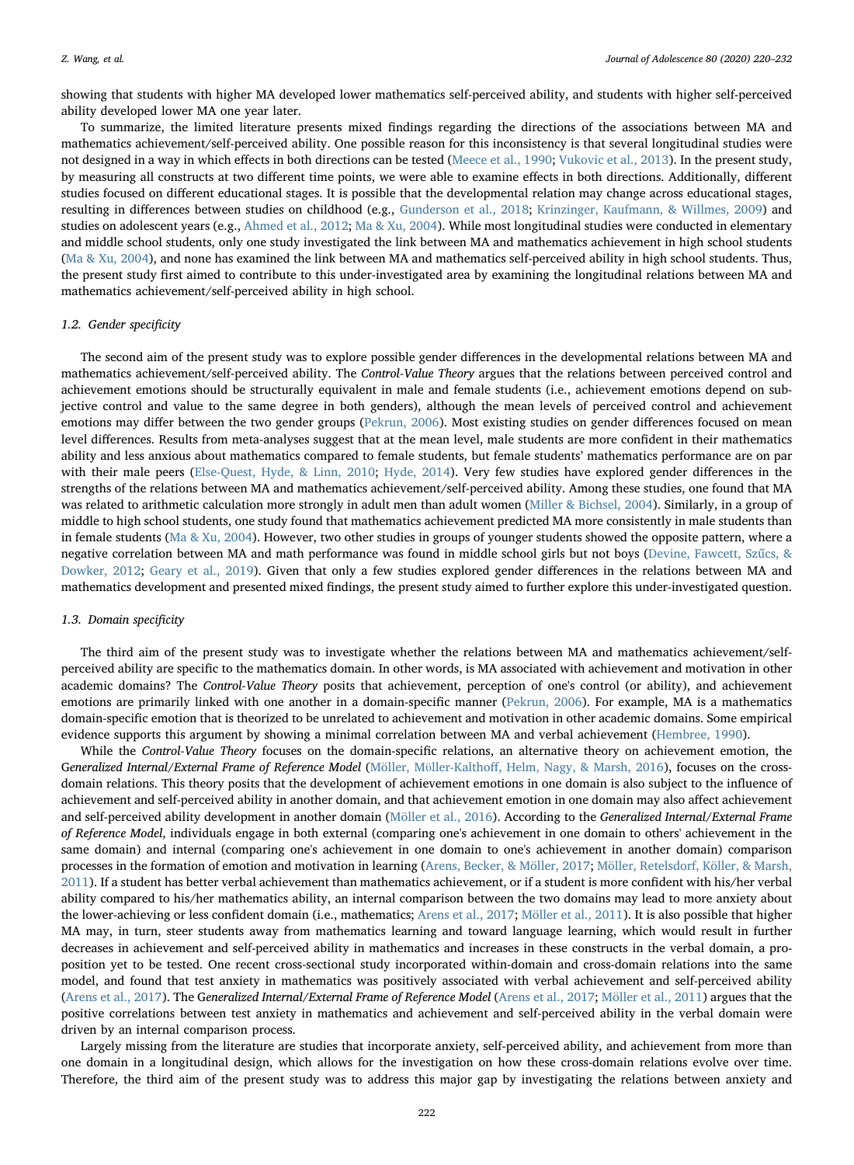showing that students with higher MA developed lower mathematics self-perceived ability, and students with higher self-perceived ability developed lower MA one year later.

To summarize, the limited literature presents mixed findings regarding the directions of the associations between MA and mathematics achievement/self-perceived ability. One possible reason for this inconsistency is that several longitudinal studies were not designed in a way in which effects in both directions can be tested [\(Meece et al., 1990](#page-11-13); [Vukovic et al., 2013\)](#page-12-7). In the present study, by measuring all constructs at two different time points, we were able to examine effects in both directions. Additionally, different studies focused on different educational stages. It is possible that the developmental relation may change across educational stages, resulting in differences between studies on childhood (e.g., [Gunderson et al., 2018](#page-11-9); [Krinzinger, Kaufmann, & Willmes, 2009](#page-11-14)) and studies on adolescent years (e.g., [Ahmed et al., 2012](#page-10-0); [Ma & Xu, 2004\)](#page-11-10). While most longitudinal studies were conducted in elementary and middle school students, only one study investigated the link between MA and mathematics achievement in high school students ([Ma & Xu, 2004\)](#page-11-10), and none has examined the link between MA and mathematics self-perceived ability in high school students. Thus, the present study first aimed to contribute to this under-investigated area by examining the longitudinal relations between MA and mathematics achievement/self-perceived ability in high school.

## 1.2. Gender specificity

The second aim of the present study was to explore possible gender differences in the developmental relations between MA and mathematics achievement/self-perceived ability. The Control-Value Theory argues that the relations between perceived control and achievement emotions should be structurally equivalent in male and female students (i.e., achievement emotions depend on subjective control and value to the same degree in both genders), although the mean levels of perceived control and achievement emotions may differ between the two gender groups [\(Pekrun, 2006](#page-12-1)). Most existing studies on gender differences focused on mean level differences. Results from meta-analyses suggest that at the mean level, male students are more confident in their mathematics ability and less anxious about mathematics compared to female students, but female students' mathematics performance are on par with their male peers [\(Else-Quest, Hyde, & Linn, 2010](#page-11-15); [Hyde, 2014](#page-11-16)). Very few studies have explored gender differences in the strengths of the relations between MA and mathematics achievement/self-perceived ability. Among these studies, one found that MA was related to arithmetic calculation more strongly in adult men than adult women ([Miller & Bichsel, 2004](#page-11-17)). Similarly, in a group of middle to high school students, one study found that mathematics achievement predicted MA more consistently in male students than in female students [\(Ma & Xu, 2004\)](#page-11-10). However, two other studies in groups of younger students showed the opposite pattern, where a negative correlation between MA and math performance was found in middle school girls but not boys ([Devine, Fawcett, Sz](#page-11-18)űcs, & [Dowker, 2012;](#page-11-18) [Geary et al., 2019\)](#page-11-19). Given that only a few studies explored gender differences in the relations between MA and mathematics development and presented mixed findings, the present study aimed to further explore this under-investigated question.

## 1.3. Domain specificity

The third aim of the present study was to investigate whether the relations between MA and mathematics achievement/selfperceived ability are specific to the mathematics domain. In other words, is MA associated with achievement and motivation in other academic domains? The Control-Value Theory posits that achievement, perception of one's control (or ability), and achievement emotions are primarily linked with one another in a domain-specific manner [\(Pekrun, 2006](#page-12-1)). For example, MA is a mathematics domain-specific emotion that is theorized to be unrelated to achievement and motivation in other academic domains. Some empirical evidence supports this argument by showing a minimal correlation between MA and verbal achievement ([Hembree, 1990\)](#page-11-2).

While the Control-Value Theory focuses on the domain-specific relations, an alternative theory on achievement emotion, the Generalized Internal/External Frame of Reference Model (Möller, Müller-Kalthoff[, Helm, Nagy, & Marsh, 2016](#page-11-20)), focuses on the crossdomain relations. This theory posits that the development of achievement emotions in one domain is also subject to the influence of achievement and self-perceived ability in another domain, and that achievement emotion in one domain may also affect achievement and self-perceived ability development in another domain ([Möller et al., 2016](#page-11-20)). According to the Generalized Internal/External Frame of Reference Model, individuals engage in both external (comparing one's achievement in one domain to others' achievement in the same domain) and internal (comparing one's achievement in one domain to one's achievement in another domain) comparison processes in the formation of emotion and motivation in learning [\(Arens, Becker, & Möller, 2017;](#page-10-5) [Möller, Retelsdorf, Köller, & Marsh,](#page-11-21) [2011\)](#page-11-21). If a student has better verbal achievement than mathematics achievement, or if a student is more confident with his/her verbal ability compared to his/her mathematics ability, an internal comparison between the two domains may lead to more anxiety about the lower-achieving or less confident domain (i.e., mathematics; [Arens et al., 2017](#page-10-5); [Möller et al., 2011](#page-11-21)). It is also possible that higher MA may, in turn, steer students away from mathematics learning and toward language learning, which would result in further decreases in achievement and self-perceived ability in mathematics and increases in these constructs in the verbal domain, a proposition yet to be tested. One recent cross-sectional study incorporated within-domain and cross-domain relations into the same model, and found that test anxiety in mathematics was positively associated with verbal achievement and self-perceived ability ([Arens et al., 2017](#page-10-5)). The Generalized Internal/External Frame of Reference Model [\(Arens et al., 2017;](#page-10-5) [Möller et al., 2011](#page-11-21)) argues that the positive correlations between test anxiety in mathematics and achievement and self-perceived ability in the verbal domain were driven by an internal comparison process.

Largely missing from the literature are studies that incorporate anxiety, self-perceived ability, and achievement from more than one domain in a longitudinal design, which allows for the investigation on how these cross-domain relations evolve over time. Therefore, the third aim of the present study was to address this major gap by investigating the relations between anxiety and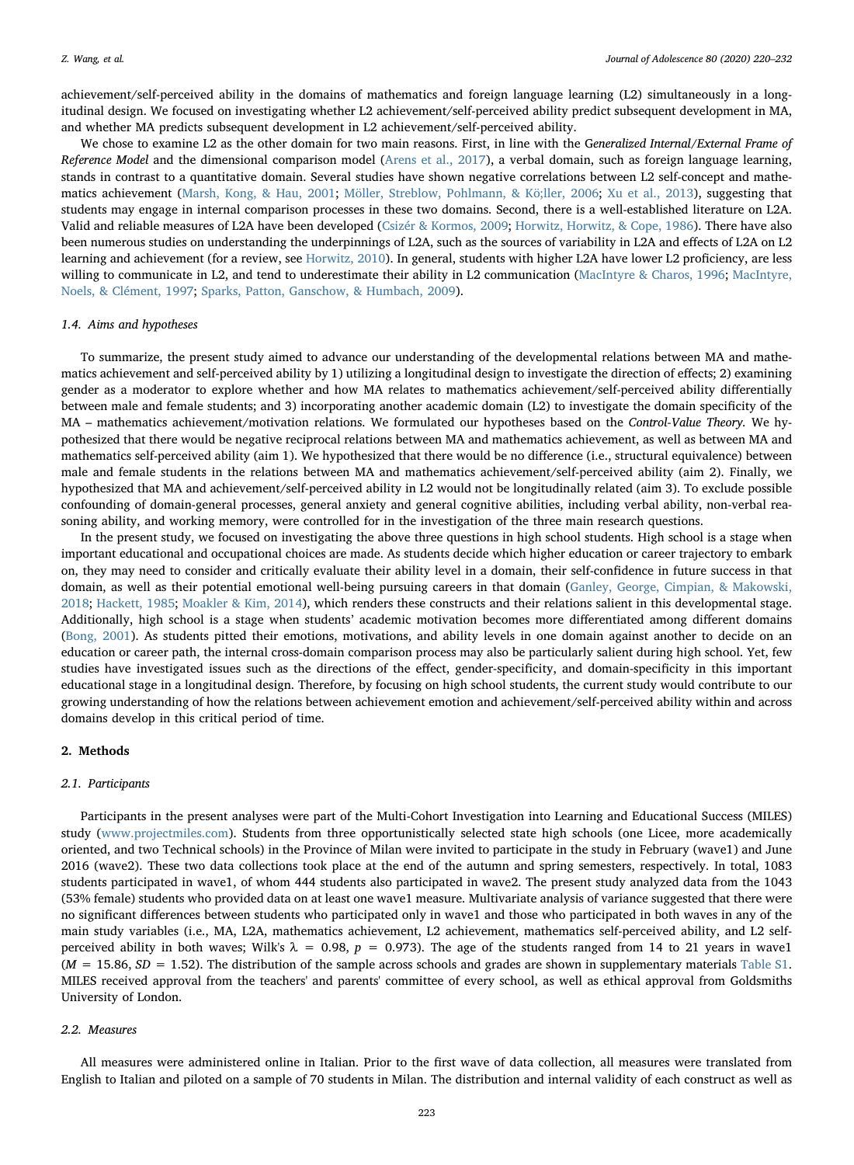achievement/self-perceived ability in the domains of mathematics and foreign language learning (L2) simultaneously in a longitudinal design. We focused on investigating whether L2 achievement/self-perceived ability predict subsequent development in MA, and whether MA predicts subsequent development in L2 achievement/self-perceived ability.

We chose to examine L2 as the other domain for two main reasons. First, in line with the Generalized Internal/External Frame of Reference Model and the dimensional comparison model ([Arens et al., 2017\)](#page-10-5), a verbal domain, such as foreign language learning, stands in contrast to a quantitative domain. Several studies have shown negative correlations between L2 self-concept and mathematics achievement [\(Marsh, Kong, & Hau, 2001](#page-11-22); Mӧ[ller, Streblow, Pohlmann, & K](#page-11-23)ӧ;ller, 2006; [Xu et al., 2013](#page-12-9)), suggesting that students may engage in internal comparison processes in these two domains. Second, there is a well-established literature on L2A. Valid and reliable measures of L2A have been developed ([Csizér & Kormos, 2009](#page-11-24); [Horwitz, Horwitz, & Cope, 1986](#page-11-25)). There have also been numerous studies on understanding the underpinnings of L2A, such as the sources of variability in L2A and effects of L2A on L2 learning and achievement (for a review, see [Horwitz, 2010\)](#page-11-26). In general, students with higher L2A have lower L2 proficiency, are less willing to communicate in L2, and tend to underestimate their ability in L2 communication [\(MacIntyre & Charos, 1996](#page-11-27); [MacIntyre,](#page-11-28) [Noels, & Clément, 1997;](#page-11-28) [Sparks, Patton, Ganschow, & Humbach, 2009\)](#page-12-10).

## 1.4. Aims and hypotheses

To summarize, the present study aimed to advance our understanding of the developmental relations between MA and mathematics achievement and self-perceived ability by 1) utilizing a longitudinal design to investigate the direction of effects; 2) examining gender as a moderator to explore whether and how MA relates to mathematics achievement/self-perceived ability differentially between male and female students; and 3) incorporating another academic domain (L2) to investigate the domain specificity of the MA – mathematics achievement/motivation relations. We formulated our hypotheses based on the Control-Value Theory. We hypothesized that there would be negative reciprocal relations between MA and mathematics achievement, as well as between MA and mathematics self-perceived ability (aim 1). We hypothesized that there would be no difference (i.e., structural equivalence) between male and female students in the relations between MA and mathematics achievement/self-perceived ability (aim 2). Finally, we hypothesized that MA and achievement/self-perceived ability in L2 would not be longitudinally related (aim 3). To exclude possible confounding of domain-general processes, general anxiety and general cognitive abilities, including verbal ability, non-verbal reasoning ability, and working memory, were controlled for in the investigation of the three main research questions.

In the present study, we focused on investigating the above three questions in high school students. High school is a stage when important educational and occupational choices are made. As students decide which higher education or career trajectory to embark on, they may need to consider and critically evaluate their ability level in a domain, their self-confidence in future success in that domain, as well as their potential emotional well-being pursuing careers in that domain ([Ganley, George, Cimpian, & Makowski,](#page-11-29) [2018;](#page-11-29) [Hackett, 1985;](#page-11-30) [Moakler & Kim, 2014\)](#page-11-31), which renders these constructs and their relations salient in this developmental stage. Additionally, high school is a stage when students' academic motivation becomes more differentiated among different domains ([Bong, 2001](#page-10-6)). As students pitted their emotions, motivations, and ability levels in one domain against another to decide on an education or career path, the internal cross-domain comparison process may also be particularly salient during high school. Yet, few studies have investigated issues such as the directions of the effect, gender-specificity, and domain-specificity in this important educational stage in a longitudinal design. Therefore, by focusing on high school students, the current study would contribute to our growing understanding of how the relations between achievement emotion and achievement/self-perceived ability within and across domains develop in this critical period of time.

# 2. Methods

## 2.1. Participants

Participants in the present analyses were part of the Multi-Cohort Investigation into Learning and Educational Success (MILES) study ([www.projectmiles.com\)](https://www.projectmiles.com). Students from three opportunistically selected state high schools (one Licee, more academically oriented, and two Technical schools) in the Province of Milan were invited to participate in the study in February (wave1) and June 2016 (wave2). These two data collections took place at the end of the autumn and spring semesters, respectively. In total, 1083 students participated in wave1, of whom 444 students also participated in wave2. The present study analyzed data from the 1043 (53% female) students who provided data on at least one wave1 measure. Multivariate analysis of variance suggested that there were no significant differences between students who participated only in wave1 and those who participated in both waves in any of the main study variables (i.e., MA, L2A, mathematics achievement, L2 achievement, mathematics self-perceived ability, and L2 selfperceived ability in both waves; Wilk's  $\lambda = 0.98$ ,  $p = 0.973$ ). The age of the students ranged from 14 to 21 years in wave1  $(M = 15.86, SD = 1.52)$ . The distribution of the sample across schools and grades are shown in supplementary materials Table S1. MILES received approval from the teachers' and parents' committee of every school, as well as ethical approval from Goldsmiths University of London.

## 2.2. Measures

All measures were administered online in Italian. Prior to the first wave of data collection, all measures were translated from English to Italian and piloted on a sample of 70 students in Milan. The distribution and internal validity of each construct as well as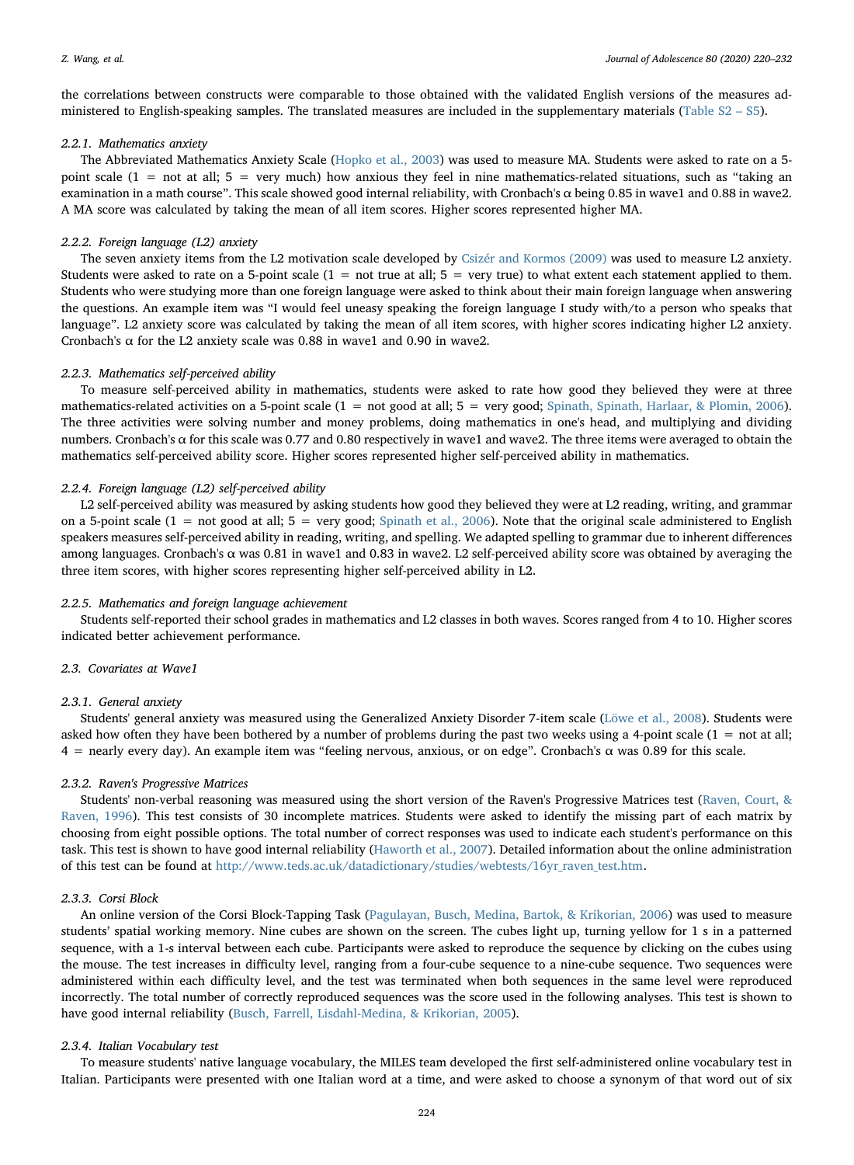the correlations between constructs were comparable to those obtained with the validated English versions of the measures administered to English-speaking samples. The translated measures are included in the supplementary materials (Table S2 – S5).

# 2.2.1. Mathematics anxiety

The Abbreviated Mathematics Anxiety Scale ([Hopko et al., 2003](#page-11-0)) was used to measure MA. Students were asked to rate on a 5 point scale (1 = not at all; 5 = very much) how anxious they feel in nine mathematics-related situations, such as "taking an examination in a math course". This scale showed good internal reliability, with Cronbach's α being 0.85 in wave1 and 0.88 in wave2. A MA score was calculated by taking the mean of all item scores. Higher scores represented higher MA.

# 2.2.2. Foreign language (L2) anxiety

The seven anxiety items from the L2 motivation scale developed by [Csizér and Kormos \(2009\)](#page-11-24) was used to measure L2 anxiety. Students were asked to rate on a 5-point scale  $(1 = not true at all; 5 = very true)$  to what extent each statement applied to them. Students who were studying more than one foreign language were asked to think about their main foreign language when answering the questions. An example item was "I would feel uneasy speaking the foreign language I study with/to a person who speaks that language". L2 anxiety score was calculated by taking the mean of all item scores, with higher scores indicating higher L2 anxiety. Cronbach's  $\alpha$  for the L2 anxiety scale was 0.88 in wave1 and 0.90 in wave2.

# 2.2.3. Mathematics self-perceived ability

To measure self-perceived ability in mathematics, students were asked to rate how good they believed they were at three mathematics-related activities on a 5-point scale  $(1 = not good at all; 5 = very good; Spinath, Spinath, Harlaar, & Plomin, 2006)$  $(1 = not good at all; 5 = very good; Spinath, Spinath, Harlaar, & Plomin, 2006)$ . The three activities were solving number and money problems, doing mathematics in one's head, and multiplying and dividing numbers. Cronbach's α for this scale was 0.77 and 0.80 respectively in wave1 and wave2. The three items were averaged to obtain the mathematics self-perceived ability score. Higher scores represented higher self-perceived ability in mathematics.

## 2.2.4. Foreign language (L2) self-perceived ability

L2 self-perceived ability was measured by asking students how good they believed they were at L2 reading, writing, and grammar on a 5-point scale  $(1 = not good at all; 5 = very good; Spinath et al., 2006)$  $(1 = not good at all; 5 = very good; Spinath et al., 2006)$ . Note that the original scale administered to English speakers measures self-perceived ability in reading, writing, and spelling. We adapted spelling to grammar due to inherent differences among languages. Cronbach's α was 0.81 in wave1 and 0.83 in wave2. L2 self-perceived ability score was obtained by averaging the three item scores, with higher scores representing higher self-perceived ability in L2.

# 2.2.5. Mathematics and foreign language achievement

Students self-reported their school grades in mathematics and L2 classes in both waves. Scores ranged from 4 to 10. Higher scores indicated better achievement performance.

# 2.3. Covariates at Wave1

# 2.3.1. General anxiety

Students' general anxiety was measured using the Generalized Anxiety Disorder 7-item scale ([Löwe et al., 2008](#page-11-32)). Students were asked how often they have been bothered by a number of problems during the past two weeks using a 4-point scale  $(1 = not at all;$  $4$  = nearly every day). An example item was "feeling nervous, anxious, or on edge". Cronbach's  $\alpha$  was 0.89 for this scale.

## 2.3.2. Raven's Progressive Matrices

Students' non-verbal reasoning was measured using the short version of the Raven's Progressive Matrices test [\(Raven, Court, &](#page-12-12) [Raven, 1996](#page-12-12)). This test consists of 30 incomplete matrices. Students were asked to identify the missing part of each matrix by choosing from eight possible options. The total number of correct responses was used to indicate each student's performance on this task. This test is shown to have good internal reliability [\(Haworth et al., 2007](#page-11-33)). Detailed information about the online administration of this test can be found at [http://www.teds.ac.uk/datadictionary/studies/webtests/16yr\\_raven\\_test.htm](http://www.teds.ac.uk/datadictionary/studies/webtests/16yr_raven_test.htm).

# 2.3.3. Corsi Block

An online version of the Corsi Block-Tapping Task ([Pagulayan, Busch, Medina, Bartok, & Krikorian, 2006\)](#page-12-13) was used to measure students' spatial working memory. Nine cubes are shown on the screen. The cubes light up, turning yellow for 1 s in a patterned sequence, with a 1-s interval between each cube. Participants were asked to reproduce the sequence by clicking on the cubes using the mouse. The test increases in difficulty level, ranging from a four-cube sequence to a nine-cube sequence. Two sequences were administered within each difficulty level, and the test was terminated when both sequences in the same level were reproduced incorrectly. The total number of correctly reproduced sequences was the score used in the following analyses. This test is shown to have good internal reliability ([Busch, Farrell, Lisdahl-Medina, & Krikorian, 2005](#page-10-7)).

## 2.3.4. Italian Vocabulary test

To measure students' native language vocabulary, the MILES team developed the first self-administered online vocabulary test in Italian. Participants were presented with one Italian word at a time, and were asked to choose a synonym of that word out of six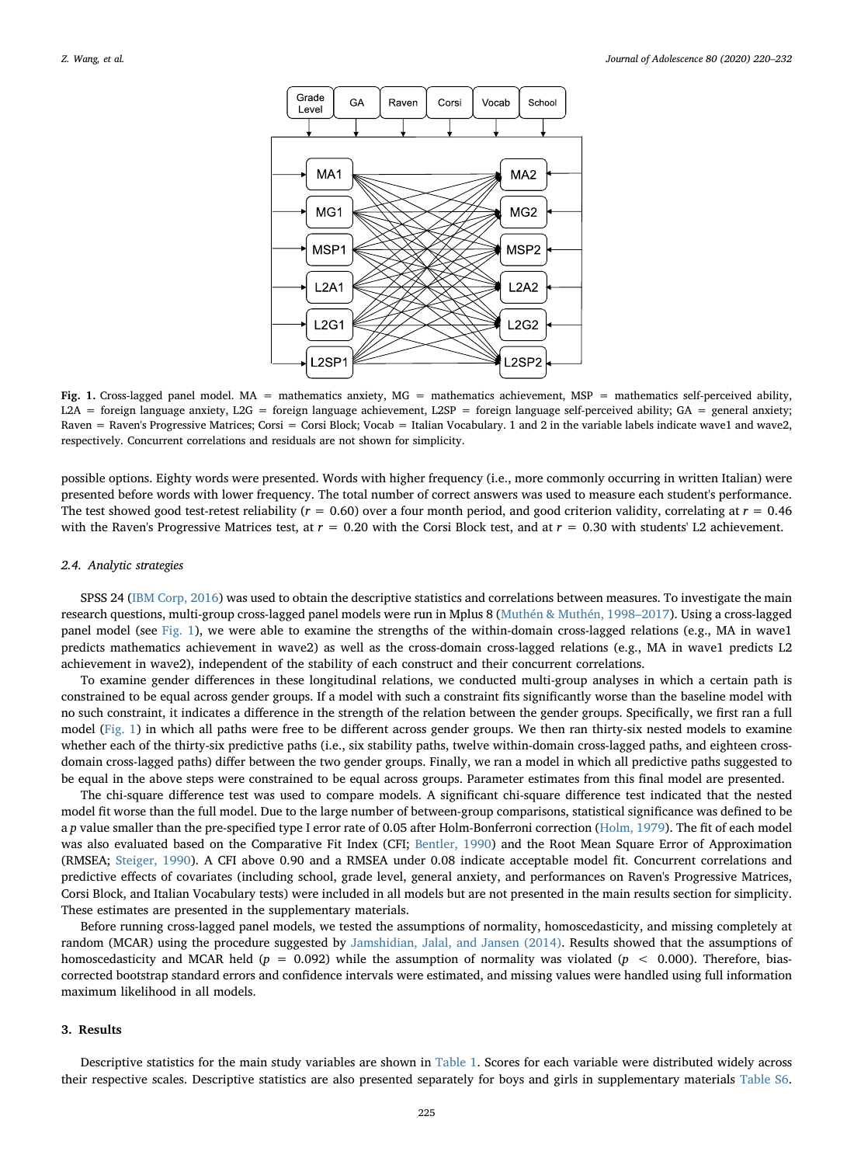<span id="page-5-0"></span>

Fig. 1. Cross-lagged panel model. MA = mathematics anxiety, MG = mathematics achievement, MSP = mathematics self-perceived ability, L2A = foreign language anxiety, L2G = foreign language achievement, L2SP = foreign language self-perceived ability; GA = general anxiety; Raven = Raven's Progressive Matrices; Corsi = Corsi Block; Vocab = Italian Vocabulary. 1 and 2 in the variable labels indicate wave1 and wave2, respectively. Concurrent correlations and residuals are not shown for simplicity.

possible options. Eighty words were presented. Words with higher frequency (i.e., more commonly occurring in written Italian) were presented before words with lower frequency. The total number of correct answers was used to measure each student's performance. The test showed good test-retest reliability ( $r = 0.60$ ) over a four month period, and good criterion validity, correlating at  $r = 0.46$ with the Raven's Progressive Matrices test, at  $r = 0.20$  with the Corsi Block test, and at  $r = 0.30$  with students' L2 achievement.

## 2.4. Analytic strategies

SPSS 24 [\(IBM Corp, 2016](#page-11-34)) was used to obtain the descriptive statistics and correlations between measures. To investigate the main research questions, multi-group cross-lagged panel models were run in Mplus 8 [\(Muthén & Muthén, 1998](#page-11-35)–2017). Using a cross-lagged panel model (see [Fig. 1](#page-5-0)), we were able to examine the strengths of the within-domain cross-lagged relations (e.g., MA in wave1 predicts mathematics achievement in wave2) as well as the cross-domain cross-lagged relations (e.g., MA in wave1 predicts L2 achievement in wave2), independent of the stability of each construct and their concurrent correlations.

To examine gender differences in these longitudinal relations, we conducted multi-group analyses in which a certain path is constrained to be equal across gender groups. If a model with such a constraint fits significantly worse than the baseline model with no such constraint, it indicates a difference in the strength of the relation between the gender groups. Specifically, we first ran a full model ([Fig. 1](#page-5-0)) in which all paths were free to be different across gender groups. We then ran thirty-six nested models to examine whether each of the thirty-six predictive paths (i.e., six stability paths, twelve within-domain cross-lagged paths, and eighteen crossdomain cross-lagged paths) differ between the two gender groups. Finally, we ran a model in which all predictive paths suggested to be equal in the above steps were constrained to be equal across groups. Parameter estimates from this final model are presented.

The chi-square difference test was used to compare models. A significant chi-square difference test indicated that the nested model fit worse than the full model. Due to the large number of between-group comparisons, statistical significance was defined to be a p value smaller than the pre-specified type I error rate of 0.05 after Holm-Bonferroni correction ([Holm, 1979](#page-11-36)). The fit of each model was also evaluated based on the Comparative Fit Index (CFI; [Bentler, 1990](#page-10-8)) and the Root Mean Square Error of Approximation (RMSEA; [Steiger, 1990\)](#page-12-14). A CFI above 0.90 and a RMSEA under 0.08 indicate acceptable model fit. Concurrent correlations and predictive effects of covariates (including school, grade level, general anxiety, and performances on Raven's Progressive Matrices, Corsi Block, and Italian Vocabulary tests) were included in all models but are not presented in the main results section for simplicity. These estimates are presented in the supplementary materials.

Before running cross-lagged panel models, we tested the assumptions of normality, homoscedasticity, and missing completely at random (MCAR) using the procedure suggested by [Jamshidian, Jalal, and Jansen \(2014\)](#page-11-37). Results showed that the assumptions of homoscedasticity and MCAR held ( $p = 0.092$ ) while the assumption of normality was violated ( $p < 0.000$ ). Therefore, biascorrected bootstrap standard errors and confidence intervals were estimated, and missing values were handled using full information maximum likelihood in all models.

# 3. Results

Descriptive statistics for the main study variables are shown in [Table 1](#page-6-0). Scores for each variable were distributed widely across their respective scales. Descriptive statistics are also presented separately for boys and girls in supplementary materials Table S6.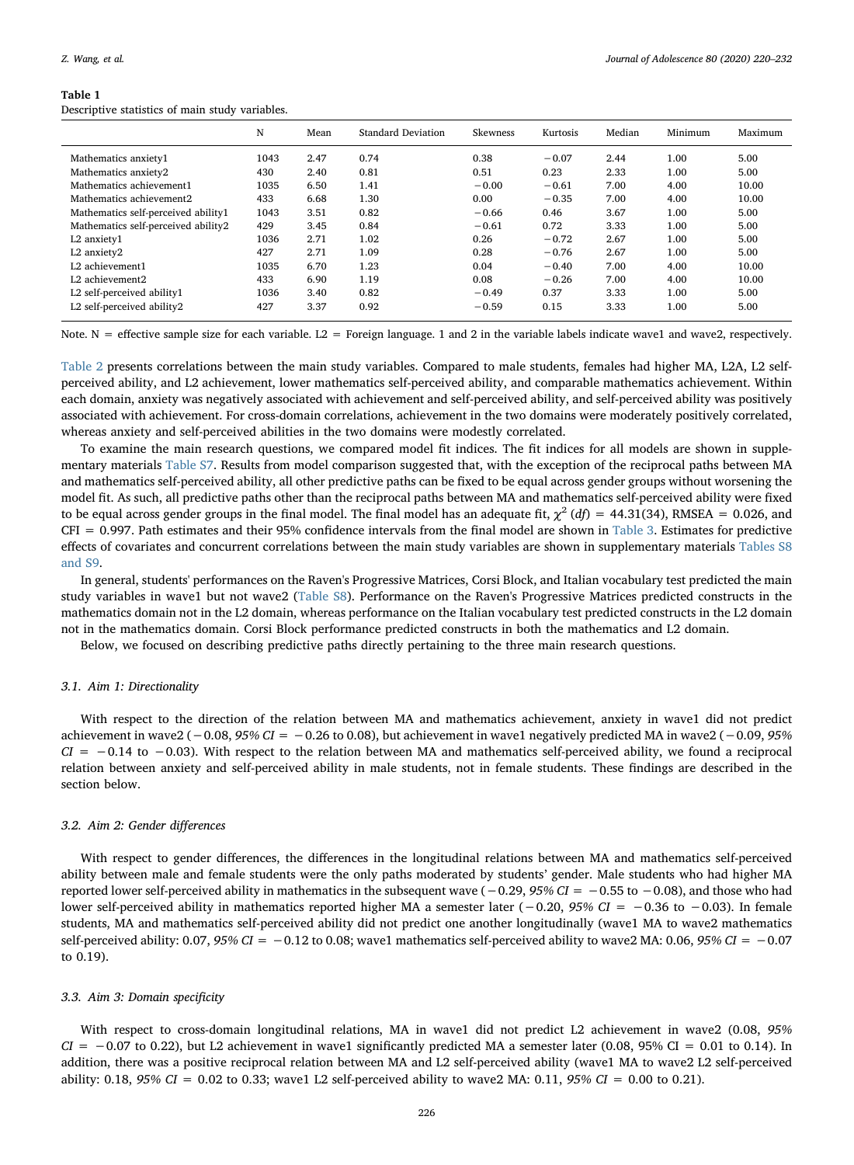#### Z. Wang, et al. *Journal of Adolescence 80 (2020) 220–232*

#### <span id="page-6-0"></span>Table 1

Descriptive statistics of main study variables.

|                                     | N    | Mean | Standard Deviation | <b>Skewness</b> | Kurtosis | Median | Minimum | Maximum |
|-------------------------------------|------|------|--------------------|-----------------|----------|--------|---------|---------|
| Mathematics anxiety1                | 1043 | 2.47 | 0.74               | 0.38            | $-0.07$  | 2.44   | 1.00    | 5.00    |
| Mathematics anxiety2                | 430  | 2.40 | 0.81               | 0.51            | 0.23     | 2.33   | 1.00    | 5.00    |
| Mathematics achievement1            | 1035 | 6.50 | 1.41               | $-0.00$         | $-0.61$  | 7.00   | 4.00    | 10.00   |
| Mathematics achievement2            | 433  | 6.68 | 1.30               | 0.00            | $-0.35$  | 7.00   | 4.00    | 10.00   |
| Mathematics self-perceived ability1 | 1043 | 3.51 | 0.82               | $-0.66$         | 0.46     | 3.67   | 1.00    | 5.00    |
| Mathematics self-perceived ability2 | 429  | 3.45 | 0.84               | $-0.61$         | 0.72     | 3.33   | 1.00    | 5.00    |
| L2 anxiety1                         | 1036 | 2.71 | 1.02               | 0.26            | $-0.72$  | 2.67   | 1.00    | 5.00    |
| L2 anxietv2                         | 427  | 2.71 | 1.09               | 0.28            | $-0.76$  | 2.67   | 1.00    | 5.00    |
| L2 achievement1                     | 1035 | 6.70 | 1.23               | 0.04            | $-0.40$  | 7.00   | 4.00    | 10.00   |
| L2 achievement2                     | 433  | 6.90 | 1.19               | 0.08            | $-0.26$  | 7.00   | 4.00    | 10.00   |
| L2 self-perceived ability1          | 1036 | 3.40 | 0.82               | $-0.49$         | 0.37     | 3.33   | 1.00    | 5.00    |
| L2 self-perceived ability2          | 427  | 3.37 | 0.92               | $-0.59$         | 0.15     | 3.33   | 1.00    | 5.00    |

Note. N = effective sample size for each variable. L2 = Foreign language. 1 and 2 in the variable labels indicate wave1 and wave2, respectively.

[Table 2](#page-7-0) presents correlations between the main study variables. Compared to male students, females had higher MA, L2A, L2 selfperceived ability, and L2 achievement, lower mathematics self-perceived ability, and comparable mathematics achievement. Within each domain, anxiety was negatively associated with achievement and self-perceived ability, and self-perceived ability was positively associated with achievement. For cross-domain correlations, achievement in the two domains were moderately positively correlated, whereas anxiety and self-perceived abilities in the two domains were modestly correlated.

To examine the main research questions, we compared model fit indices. The fit indices for all models are shown in supplementary materials Table S7. Results from model comparison suggested that, with the exception of the reciprocal paths between MA and mathematics self-perceived ability, all other predictive paths can be fixed to be equal across gender groups without worsening the model fit. As such, all predictive paths other than the reciprocal paths between MA and mathematics self-perceived ability were fixed to be equal across gender groups in the final model. The final model has an adequate fit,  $\chi^2 (df) = 44.31(34)$ , RMSEA = 0.026, and  $CFI = 0.997$ . Path estimates and their 95% confidence intervals from the final model are shown in [Table 3](#page-8-0). Estimates for predictive effects of covariates and concurrent correlations between the main study variables are shown in supplementary materials Tables S8 and S9.

In general, students' performances on the Raven's Progressive Matrices, Corsi Block, and Italian vocabulary test predicted the main study variables in wave1 but not wave2 (Table S8). Performance on the Raven's Progressive Matrices predicted constructs in the mathematics domain not in the L2 domain, whereas performance on the Italian vocabulary test predicted constructs in the L2 domain not in the mathematics domain. Corsi Block performance predicted constructs in both the mathematics and L2 domain.

Below, we focused on describing predictive paths directly pertaining to the three main research questions.

## 3.1. Aim 1: Directionality

With respect to the direction of the relation between MA and mathematics achievement, anxiety in wave1 did not predict achievement in wave2 ( $-0.08$ ,  $95\%$  CI =  $-0.26$  to 0.08), but achievement in wave1 negatively predicted MA in wave2 ( $-0.09$ ,  $95\%$  $CI = -0.14$  to  $-0.03$ ). With respect to the relation between MA and mathematics self-perceived ability, we found a reciprocal relation between anxiety and self-perceived ability in male students, not in female students. These findings are described in the section below.

#### 3.2. Aim 2: Gender differences

With respect to gender differences, the differences in the longitudinal relations between MA and mathematics self-perceived ability between male and female students were the only paths moderated by students' gender. Male students who had higher MA reported lower self-perceived ability in mathematics in the subsequent wave  $(-0.29, 95\% CI = -0.55$  to  $-0.08$ ), and those who had lower self-perceived ability in mathematics reported higher MA a semester later (−0.20, 95% CI = −0.36 to −0.03). In female students, MA and mathematics self-perceived ability did not predict one another longitudinally (wave1 MA to wave2 mathematics self-perceived ability:  $0.07$ ,  $95\%$  CI = -0.12 to 0.08; wave1 mathematics self-perceived ability to wave2 MA: 0.06,  $95\%$  CI = -0.07 to 0.19).

## 3.3. Aim 3: Domain specificity

With respect to cross-domain longitudinal relations, MA in wave1 did not predict L2 achievement in wave2 (0.08, 95%  $CI = -0.07$  to 0.22), but L2 achievement in wave1 significantly predicted MA a semester later (0.08, 95% CI = 0.01 to 0.14). In addition, there was a positive reciprocal relation between MA and L2 self-perceived ability (wave1 MA to wave2 L2 self-perceived ability: 0.18, 95% CI = 0.02 to 0.33; wave1 L2 self-perceived ability to wave2 MA: 0.11, 95% CI = 0.00 to 0.21).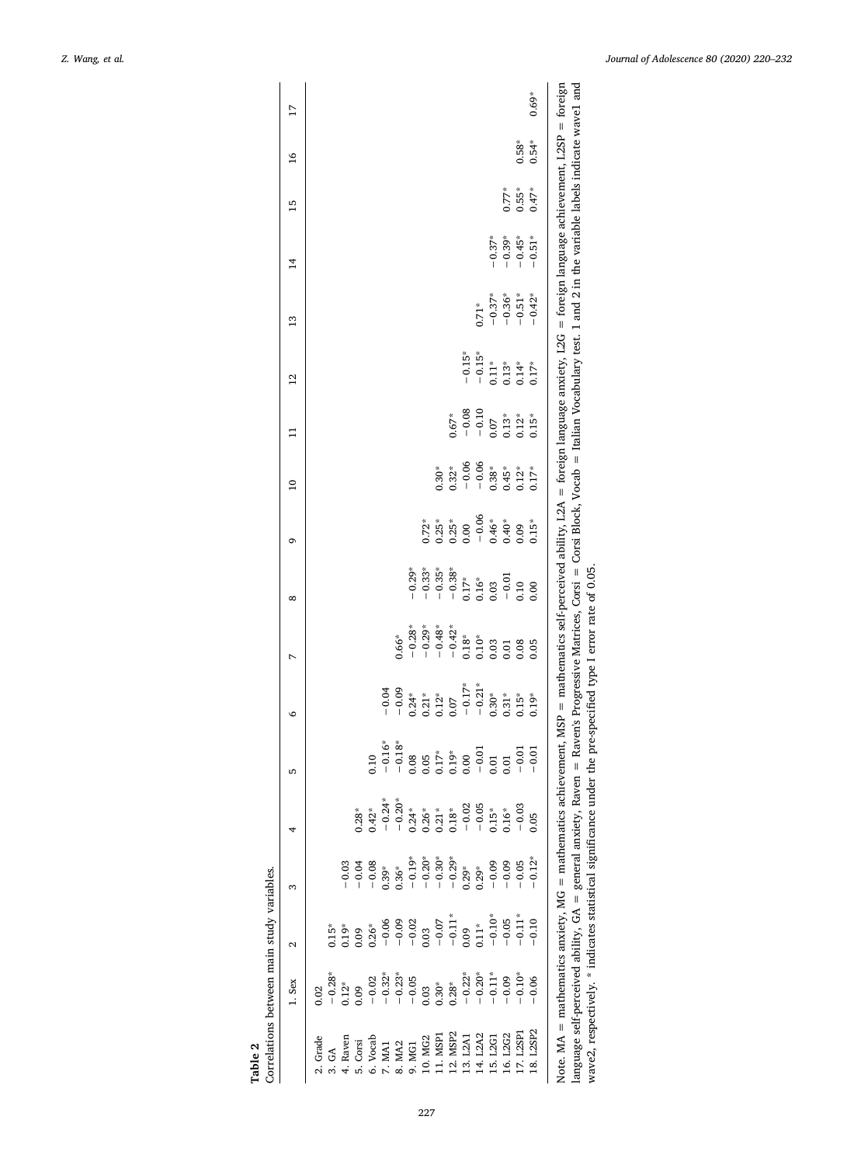<span id="page-7-0"></span>

| 17                |                                                                                                                                                                                                                                                                                                                                                                                                                                                          |         |      |                                                                                                                                                                                                                                  |          |          |          |                                      |                                                                                          |                        |          |                                                   |                    |          | $0.69*$   |                                                                                                                                                                                                                                                                                                                                                                                                                                                                      |
|-------------------|----------------------------------------------------------------------------------------------------------------------------------------------------------------------------------------------------------------------------------------------------------------------------------------------------------------------------------------------------------------------------------------------------------------------------------------------------------|---------|------|----------------------------------------------------------------------------------------------------------------------------------------------------------------------------------------------------------------------------------|----------|----------|----------|--------------------------------------|------------------------------------------------------------------------------------------|------------------------|----------|---------------------------------------------------|--------------------|----------|-----------|----------------------------------------------------------------------------------------------------------------------------------------------------------------------------------------------------------------------------------------------------------------------------------------------------------------------------------------------------------------------------------------------------------------------------------------------------------------------|
|                   |                                                                                                                                                                                                                                                                                                                                                                                                                                                          |         |      |                                                                                                                                                                                                                                  |          |          |          |                                      |                                                                                          |                        |          |                                                   |                    |          |           |                                                                                                                                                                                                                                                                                                                                                                                                                                                                      |
| $\overline{16}$   |                                                                                                                                                                                                                                                                                                                                                                                                                                                          |         |      |                                                                                                                                                                                                                                  |          |          |          |                                      |                                                                                          |                        |          |                                                   |                    | $0.58*$  | $0.54*$   |                                                                                                                                                                                                                                                                                                                                                                                                                                                                      |
| 15                |                                                                                                                                                                                                                                                                                                                                                                                                                                                          |         |      |                                                                                                                                                                                                                                  |          |          |          |                                      |                                                                                          |                        |          |                                                   | $0.77*$            | $0.55*$  | $0.47*$   |                                                                                                                                                                                                                                                                                                                                                                                                                                                                      |
| $\overline{1}$    |                                                                                                                                                                                                                                                                                                                                                                                                                                                          |         |      |                                                                                                                                                                                                                                  |          |          |          |                                      |                                                                                          |                        |          | $-0.37*$                                          | $-0.39*$           | $-0.45*$ | $-0.51^*$ |                                                                                                                                                                                                                                                                                                                                                                                                                                                                      |
| $\frac{3}{2}$     |                                                                                                                                                                                                                                                                                                                                                                                                                                                          |         |      |                                                                                                                                                                                                                                  |          |          |          |                                      |                                                                                          |                        | $0.71*$  | $-0.37*$                                          | $-0.36*$           | $-0.51*$ | $-0.42*$  |                                                                                                                                                                                                                                                                                                                                                                                                                                                                      |
| 12                |                                                                                                                                                                                                                                                                                                                                                                                                                                                          |         |      |                                                                                                                                                                                                                                  |          |          |          |                                      |                                                                                          | $-0.15*$               | $-0.15*$ | $0.11*$                                           | $0.13*$            | $0.14*$  | $0.17*$   |                                                                                                                                                                                                                                                                                                                                                                                                                                                                      |
| $\Xi$             |                                                                                                                                                                                                                                                                                                                                                                                                                                                          |         |      |                                                                                                                                                                                                                                  |          |          |          |                                      | $0.67*$                                                                                  | $-0.08$                | $-0.10$  | 0.07                                              | $0.13*$            | $0.12*$  | $0.15*$   |                                                                                                                                                                                                                                                                                                                                                                                                                                                                      |
| $\overline{10}$   |                                                                                                                                                                                                                                                                                                                                                                                                                                                          |         |      |                                                                                                                                                                                                                                  |          |          |          | $0.30*$                              | $0.32*$                                                                                  | $-0.06$<br>$-0.06$     |          | $0.38*$                                           | $0.45*$<br>$0.12*$ |          | $0.17*$   |                                                                                                                                                                                                                                                                                                                                                                                                                                                                      |
| ō                 |                                                                                                                                                                                                                                                                                                                                                                                                                                                          |         |      |                                                                                                                                                                                                                                  |          |          | $0.72*$  |                                      | $0.25$ *<br>$0.25$ *<br>$-0.06$<br>$-0.46$ *<br>$-0.40$ *<br>$0.09$                      |                        |          |                                                   |                    |          | $0.15*$   |                                                                                                                                                                                                                                                                                                                                                                                                                                                                      |
| $\infty$          |                                                                                                                                                                                                                                                                                                                                                                                                                                                          |         |      |                                                                                                                                                                                                                                  |          | $-0.29*$ | $-0.33*$ | $-0.35^{*}$<br>$-0.38^{*}$           |                                                                                          |                        |          | $0.17*$<br>$0.16*$<br>$0.03$<br>$-0.01$<br>$0.10$ |                    |          | 0.00      |                                                                                                                                                                                                                                                                                                                                                                                                                                                                      |
|                   |                                                                                                                                                                                                                                                                                                                                                                                                                                                          |         |      |                                                                                                                                                                                                                                  | $0.66*$  |          |          |                                      |                                                                                          | $0.18*$                | $0.10*$  | 0.03                                              | 0.01               | 0.08     | 0.05      |                                                                                                                                                                                                                                                                                                                                                                                                                                                                      |
| O                 |                                                                                                                                                                                                                                                                                                                                                                                                                                                          |         |      | $-0.04$                                                                                                                                                                                                                          | $-0.09$  |          |          | $0.24$<br>$0.21$<br>$0.12$<br>$0.07$ |                                                                                          | $-0.17$ *<br>$-0.21$ * |          | $0.30*$                                           | $0.31*$            | $0.15*$  | $0.19*$   | r the pre-specified type I error rate of 0.05.                                                                                                                                                                                                                                                                                                                                                                                                                       |
| LŊ                |                                                                                                                                                                                                                                                                                                                                                                                                                                                          |         | 0.10 | $-0.16*$                                                                                                                                                                                                                         | $-0.18*$ |          |          |                                      | $\begin{array}{l} 0.08 \\ 0.05 \\ 0.17^* \\ 0.19^* \\ 0.00 \\ -0.01 \\ 0.01 \end{array}$ |                        |          |                                                   | $0.01\,$           | $-0.01$  | $-0.01$   |                                                                                                                                                                                                                                                                                                                                                                                                                                                                      |
|                   |                                                                                                                                                                                                                                                                                                                                                                                                                                                          | $0.28*$ |      | $1.42^*$<br>$-0.24^*$<br>$-0.24^*$<br>$-0.24^*$<br>$0.21^*$<br>$0.18^*$<br>$0.18^*$<br>$-0.05$<br>$-0.05$<br>$0.16^*$<br>$0.05$                                                                                                  |          |          |          |                                      |                                                                                          |                        |          |                                                   |                    |          |           |                                                                                                                                                                                                                                                                                                                                                                                                                                                                      |
| S                 |                                                                                                                                                                                                                                                                                                                                                                                                                                                          |         |      |                                                                                                                                                                                                                                  |          |          |          |                                      |                                                                                          |                        |          |                                                   |                    |          |           |                                                                                                                                                                                                                                                                                                                                                                                                                                                                      |
| $\mathbf{\Omega}$ |                                                                                                                                                                                                                                                                                                                                                                                                                                                          |         |      |                                                                                                                                                                                                                                  |          |          |          |                                      |                                                                                          |                        |          |                                                   |                    |          |           |                                                                                                                                                                                                                                                                                                                                                                                                                                                                      |
| $1.$ Sex          | $\begin{array}{cccccccccc} \mathbf{\hat{c}}_3 & \mathbf{\hat{c}}_3 & \mathbf{\hat{c}}_3 & \mathbf{\hat{c}}_3 & \mathbf{\hat{c}}_3 & \mathbf{\hat{c}}_3 & \mathbf{\hat{c}}_3 & \mathbf{\hat{c}}_3 & \mathbf{\hat{c}}_3 & \mathbf{\hat{c}}_3 & \mathbf{\hat{c}}_3 & \mathbf{\hat{c}}_3 & \mathbf{\hat{c}}_3 & \mathbf{\hat{c}}_3 & \mathbf{\hat{c}}_3 & \mathbf{\hat{c}}_3 & \mathbf{\hat{c}}_3 & \mathbf{\hat{c}}_3 & \mathbf{\hat{c}}_3 & \math$<br>0.02 |         |      |                                                                                                                                                                                                                                  |          |          |          |                                      |                                                                                          |                        |          |                                                   |                    |          |           |                                                                                                                                                                                                                                                                                                                                                                                                                                                                      |
|                   | Grade                                                                                                                                                                                                                                                                                                                                                                                                                                                    |         |      | 3. GA<br>4. Raven<br>5. Corsi<br>5. Word<br>6. Word<br>6. MCI<br>9. MCI<br>9. MCI<br>11. MSP<br>12. MCI<br>11. MCI<br>12. MCI<br>12. MCI<br>12. MCI<br>12. MCI<br>12. MCI<br>12. MCI<br>12. MCI<br>12. MCI<br>12. MCI<br>12. MCI |          |          |          |                                      |                                                                                          |                        |          |                                                   |                    |          | 18. L2SP2 | Note. MA = mathematics anxiety, MG = mathematics achievement, MSP = mathematics self-perceived ability, L2A = foreign language anxiety, L2G = foreign language achievement, L2SP = foreign<br>language self-perceived ability, GA = general anxiety, Raven = Raven's Progressive Matrices, Corsi = Corsi Block, Vocab = Italian Vocabulary test. 1 and 2 in the variable labels indicate wave1 and<br>wave2, respectively. * indicates statistical significance unde |

Table 2

Correlations between main study variables.

Correlations between main study variables.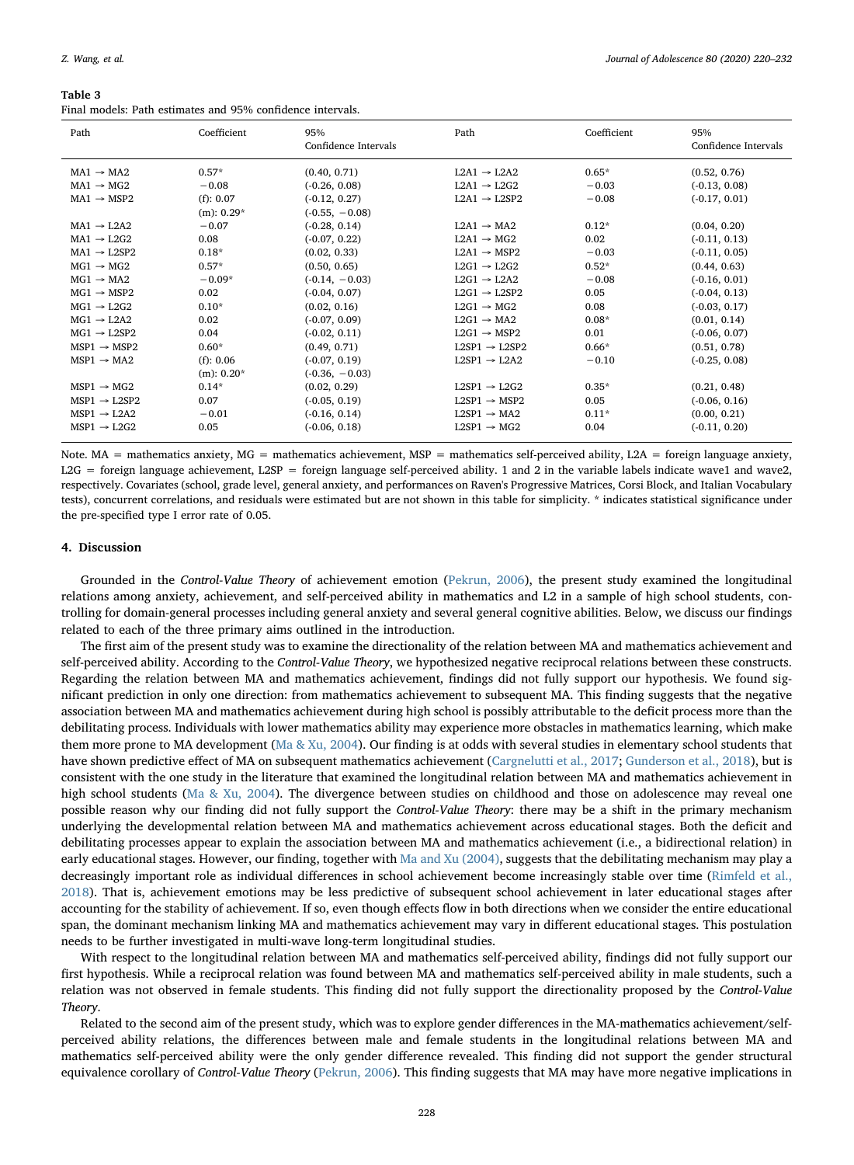<span id="page-8-0"></span>

| Table 3                                                    |  |  |
|------------------------------------------------------------|--|--|
| Final models: Path estimates and 95% confidence intervals. |  |  |

| Path                      | Coefficient      | 95%<br>Confidence Intervals | Path                        | Coefficient | 95%<br>Confidence Intervals |
|---------------------------|------------------|-----------------------------|-----------------------------|-------------|-----------------------------|
| $MA1 \rightarrow MA2$     | $0.57*$          | (0.40, 0.71)                | $L2A1 \rightarrow L2A2$     | $0.65*$     | (0.52, 0.76)                |
| $MA1 \rightarrow MG2$     | $-0.08$          | $(-0.26, 0.08)$             | $L2A1 \rightarrow L2G2$     | $-0.03$     | $(-0.13, 0.08)$             |
| $MA1 \rightarrow MSP2$    | (f): 0.07        | $(-0.12, 0.27)$             | $L2A1 \rightarrow L2SP2$    | $-0.08$     | $(-0.17, 0.01)$             |
|                           | $(m)$ : 0.29 $*$ | $(-0.55, -0.08)$            |                             |             |                             |
| $MA1 \rightarrow I.2A2$   | $-0.07$          | $(-0.28, 0.14)$             | $L2A1 \rightarrow MA2$      | $0.12*$     | (0.04, 0.20)                |
| $MA1 \rightarrow L2G2$    | 0.08             | $(-0.07, 0.22)$             | $L2A1 \rightarrow MG2$      | 0.02        | $(-0.11, 0.13)$             |
| $MA1 \rightarrow I.2SP2$  | $0.18*$          | (0.02, 0.33)                | $L2A1 \rightarrow MSP2$     | $-0.03$     | $(-0.11, 0.05)$             |
| $MG1 \rightarrow MG2$     | $0.57*$          | (0.50, 0.65)                | $L2G1 \rightarrow L2G2$     | $0.52*$     | (0.44, 0.63)                |
| $MG1 \rightarrow MA2$     | $-0.09*$         | $(-0.14, -0.03)$            | $L2G1 \rightarrow L2A2$     | $-0.08$     | $(-0.16, 0.01)$             |
| $MG1 \rightarrow MSP2$    | 0.02             | $(-0.04, 0.07)$             | $L2G1 \rightarrow L2SP2$    | 0.05        | $(-0.04, 0.13)$             |
| $MG1 \rightarrow L2G2$    | $0.10*$          | (0.02, 0.16)                | $L2G1 \rightarrow MG2$      | 0.08        | $(-0.03, 0.17)$             |
| $MG1 \rightarrow I.2A2$   | 0.02             | $(-0.07, 0.09)$             | $L2G1 \rightarrow MA2$      | $0.08*$     | (0.01, 0.14)                |
| $MG1 \rightarrow I.2SP2$  | 0.04             | $(-0.02, 0.11)$             | $1.2G1 \rightarrow MSP2$    | 0.01        | $(-0.06, 0.07)$             |
| $MSP1 \rightarrow MSP2$   | $0.60*$          | (0.49, 0.71)                | $1.2SP1 \rightarrow 1.2SP2$ | $0.66*$     | (0.51, 0.78)                |
| $MSP1 \rightarrow MA2$    | (f): 0.06        | $(-0.07, 0.19)$             | $L2SP1 \rightarrow L2A2$    | $-0.10$     | $(-0.25, 0.08)$             |
|                           | $(m)$ : 0.20 $*$ | $(-0.36, -0.03)$            |                             |             |                             |
| $MSP1 \rightarrow MG2$    | $0.14*$          | (0.02, 0.29)                | $L2SP1 \rightarrow L2G2$    | $0.35*$     | (0.21, 0.48)                |
| $MSP1 \rightarrow I.2SP2$ | 0.07             | $(-0.05, 0.19)$             | $L2SP1 \rightarrow MSP2$    | 0.05        | $(-0.06, 0.16)$             |
| $MSP1 \rightarrow L2A2$   | $-0.01$          | $(-0.16, 0.14)$             | $L2SP1 \rightarrow MA2$     | $0.11*$     | (0.00, 0.21)                |
| $MSP1 \rightarrow L2G2$   | 0.05             | $(-0.06, 0.18)$             | $L2SP1 \rightarrow MG2$     | 0.04        | $(-0.11, 0.20)$             |

Note. MA = mathematics anxiety, MG = mathematics achievement, MSP = mathematics self-perceived ability, L2A = foreign language anxiety,  $L2G =$  foreign language achievement,  $L2SP =$  foreign language self-perceived ability. 1 and 2 in the variable labels indicate wave1 and wave2, respectively. Covariates (school, grade level, general anxiety, and performances on Raven's Progressive Matrices, Corsi Block, and Italian Vocabulary tests), concurrent correlations, and residuals were estimated but are not shown in this table for simplicity. \* indicates statistical significance under the pre-specified type I error rate of 0.05.

# 4. Discussion

Grounded in the Control-Value Theory of achievement emotion ([Pekrun, 2006\)](#page-12-1), the present study examined the longitudinal relations among anxiety, achievement, and self-perceived ability in mathematics and L2 in a sample of high school students, controlling for domain-general processes including general anxiety and several general cognitive abilities. Below, we discuss our findings related to each of the three primary aims outlined in the introduction.

The first aim of the present study was to examine the directionality of the relation between MA and mathematics achievement and self-perceived ability. According to the Control-Value Theory, we hypothesized negative reciprocal relations between these constructs. Regarding the relation between MA and mathematics achievement, findings did not fully support our hypothesis. We found significant prediction in only one direction: from mathematics achievement to subsequent MA. This finding suggests that the negative association between MA and mathematics achievement during high school is possibly attributable to the deficit process more than the debilitating process. Individuals with lower mathematics ability may experience more obstacles in mathematics learning, which make them more prone to MA development ( $Ma \& Xu$ , 2004). Our finding is at odds with several studies in elementary school students that have shown predictive effect of MA on subsequent mathematics achievement ([Cargnelutti et al., 2017;](#page-11-7) [Gunderson et al., 2018\)](#page-11-9), but is consistent with the one study in the literature that examined the longitudinal relation between MA and mathematics achievement in high school students [\(Ma & Xu, 2004](#page-11-10)). The divergence between studies on childhood and those on adolescence may reveal one possible reason why our finding did not fully support the Control-Value Theory: there may be a shift in the primary mechanism underlying the developmental relation between MA and mathematics achievement across educational stages. Both the deficit and debilitating processes appear to explain the association between MA and mathematics achievement (i.e., a bidirectional relation) in early educational stages. However, our finding, together with [Ma and Xu \(2004\),](#page-11-10) suggests that the debilitating mechanism may play a decreasingly important role as individual differences in school achievement become increasingly stable over time [\(Rimfeld et al.,](#page-12-15) [2018\)](#page-12-15). That is, achievement emotions may be less predictive of subsequent school achievement in later educational stages after accounting for the stability of achievement. If so, even though effects flow in both directions when we consider the entire educational span, the dominant mechanism linking MA and mathematics achievement may vary in different educational stages. This postulation needs to be further investigated in multi-wave long-term longitudinal studies.

With respect to the longitudinal relation between MA and mathematics self-perceived ability, findings did not fully support our first hypothesis. While a reciprocal relation was found between MA and mathematics self-perceived ability in male students, such a relation was not observed in female students. This finding did not fully support the directionality proposed by the Control-Value Theory.

Related to the second aim of the present study, which was to explore gender differences in the MA-mathematics achievement/selfperceived ability relations, the differences between male and female students in the longitudinal relations between MA and mathematics self-perceived ability were the only gender difference revealed. This finding did not support the gender structural equivalence corollary of Control-Value Theory [\(Pekrun, 2006](#page-12-1)). This finding suggests that MA may have more negative implications in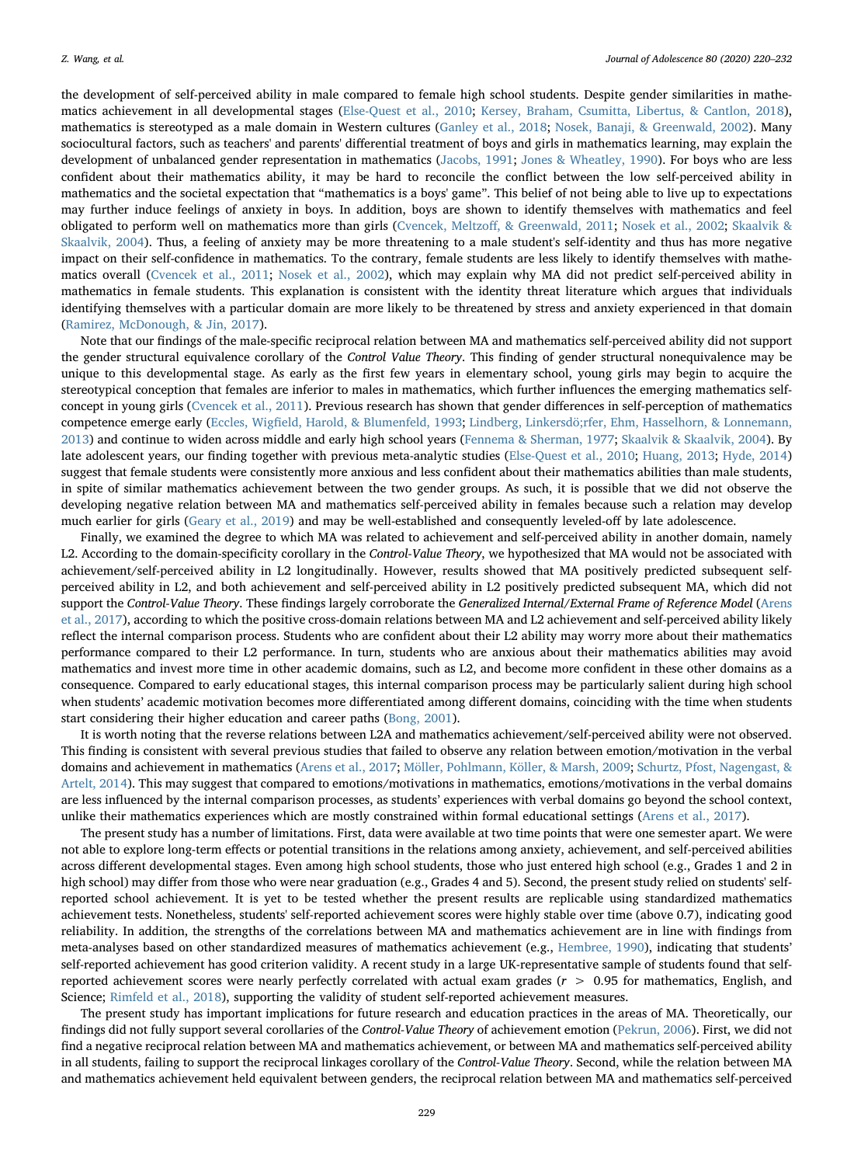the development of self-perceived ability in male compared to female high school students. Despite gender similarities in mathematics achievement in all developmental stages ([Else-Quest et al., 2010](#page-11-15); [Kersey, Braham, Csumitta, Libertus, & Cantlon, 2018\)](#page-11-38), mathematics is stereotyped as a male domain in Western cultures [\(Ganley et al., 2018](#page-11-29); [Nosek, Banaji, & Greenwald, 2002](#page-12-16)). Many sociocultural factors, such as teachers' and parents' differential treatment of boys and girls in mathematics learning, may explain the development of unbalanced gender representation in mathematics [\(Jacobs, 1991;](#page-11-39) [Jones & Wheatley, 1990](#page-11-40)). For boys who are less confident about their mathematics ability, it may be hard to reconcile the conflict between the low self-perceived ability in mathematics and the societal expectation that "mathematics is a boys' game". This belief of not being able to live up to expectations may further induce feelings of anxiety in boys. In addition, boys are shown to identify themselves with mathematics and feel obligated to perform well on mathematics more than girls (Cvencek, Meltzoff[, & Greenwald, 2011;](#page-11-41) [Nosek et al., 2002](#page-12-16); [Skaalvik &](#page-12-17) [Skaalvik, 2004\)](#page-12-17). Thus, a feeling of anxiety may be more threatening to a male student's self-identity and thus has more negative impact on their self-confidence in mathematics. To the contrary, female students are less likely to identify themselves with mathematics overall [\(Cvencek et al., 2011;](#page-11-41) [Nosek et al., 2002](#page-12-16)), which may explain why MA did not predict self-perceived ability in mathematics in female students. This explanation is consistent with the identity threat literature which argues that individuals identifying themselves with a particular domain are more likely to be threatened by stress and anxiety experienced in that domain ([Ramirez, McDonough, & Jin, 2017](#page-12-18)).

Note that our findings of the male-specific reciprocal relation between MA and mathematics self-perceived ability did not support the gender structural equivalence corollary of the Control Value Theory. This finding of gender structural nonequivalence may be unique to this developmental stage. As early as the first few years in elementary school, young girls may begin to acquire the stereotypical conception that females are inferior to males in mathematics, which further influences the emerging mathematics selfconcept in young girls [\(Cvencek et al., 2011\)](#page-11-41). Previous research has shown that gender differences in self-perception of mathematics competence emerge early (Eccles, Wigfi[eld, Harold, & Blumenfeld, 1993;](#page-11-42) Lindberg, Linkersdӧ[;rfer, Ehm, Hasselhorn, & Lonnemann,](#page-11-43) [2013\)](#page-11-43) and continue to widen across middle and early high school years [\(Fennema & Sherman, 1977;](#page-11-44) [Skaalvik & Skaalvik, 2004\)](#page-12-17). By late adolescent years, our finding together with previous meta-analytic studies ([Else-Quest et al., 2010;](#page-11-15) [Huang, 2013;](#page-11-45) [Hyde, 2014](#page-11-16)) suggest that female students were consistently more anxious and less confident about their mathematics abilities than male students, in spite of similar mathematics achievement between the two gender groups. As such, it is possible that we did not observe the developing negative relation between MA and mathematics self-perceived ability in females because such a relation may develop much earlier for girls [\(Geary et al., 2019\)](#page-11-19) and may be well-established and consequently leveled-off by late adolescence.

Finally, we examined the degree to which MA was related to achievement and self-perceived ability in another domain, namely L2. According to the domain-specificity corollary in the Control-Value Theory, we hypothesized that MA would not be associated with achievement/self-perceived ability in L2 longitudinally. However, results showed that MA positively predicted subsequent selfperceived ability in L2, and both achievement and self-perceived ability in L2 positively predicted subsequent MA, which did not support the Control-Value Theory. These findings largely corroborate the Generalized Internal/External Frame of Reference Model [\(Arens](#page-10-5) [et al., 2017](#page-10-5)), according to which the positive cross-domain relations between MA and L2 achievement and self-perceived ability likely reflect the internal comparison process. Students who are confident about their L2 ability may worry more about their mathematics performance compared to their L2 performance. In turn, students who are anxious about their mathematics abilities may avoid mathematics and invest more time in other academic domains, such as L2, and become more confident in these other domains as a consequence. Compared to early educational stages, this internal comparison process may be particularly salient during high school when students' academic motivation becomes more differentiated among different domains, coinciding with the time when students start considering their higher education and career paths ([Bong, 2001\)](#page-10-6).

It is worth noting that the reverse relations between L2A and mathematics achievement/self-perceived ability were not observed. This finding is consistent with several previous studies that failed to observe any relation between emotion/motivation in the verbal domains and achievement in mathematics ([Arens et al., 2017](#page-10-5); [Möller, Pohlmann, Köller, & Marsh, 2009](#page-11-46); [Schurtz, Pfost, Nagengast, &](#page-12-19) [Artelt, 2014](#page-12-19)). This may suggest that compared to emotions/motivations in mathematics, emotions/motivations in the verbal domains are less influenced by the internal comparison processes, as students' experiences with verbal domains go beyond the school context, unlike their mathematics experiences which are mostly constrained within formal educational settings ([Arens et al., 2017](#page-10-5)).

The present study has a number of limitations. First, data were available at two time points that were one semester apart. We were not able to explore long-term effects or potential transitions in the relations among anxiety, achievement, and self-perceived abilities across different developmental stages. Even among high school students, those who just entered high school (e.g., Grades 1 and 2 in high school) may differ from those who were near graduation (e.g., Grades 4 and 5). Second, the present study relied on students' selfreported school achievement. It is yet to be tested whether the present results are replicable using standardized mathematics achievement tests. Nonetheless, students' self-reported achievement scores were highly stable over time (above 0.7), indicating good reliability. In addition, the strengths of the correlations between MA and mathematics achievement are in line with findings from meta-analyses based on other standardized measures of mathematics achievement (e.g., [Hembree, 1990\)](#page-11-2), indicating that students' self-reported achievement has good criterion validity. A recent study in a large UK-representative sample of students found that selfreported achievement scores were nearly perfectly correlated with actual exam grades  $(r > 0.95$  for mathematics, English, and Science; [Rimfeld et al., 2018](#page-12-15)), supporting the validity of student self-reported achievement measures.

The present study has important implications for future research and education practices in the areas of MA. Theoretically, our findings did not fully support several corollaries of the Control-Value Theory of achievement emotion ([Pekrun, 2006](#page-12-1)). First, we did not find a negative reciprocal relation between MA and mathematics achievement, or between MA and mathematics self-perceived ability in all students, failing to support the reciprocal linkages corollary of the Control-Value Theory. Second, while the relation between MA and mathematics achievement held equivalent between genders, the reciprocal relation between MA and mathematics self-perceived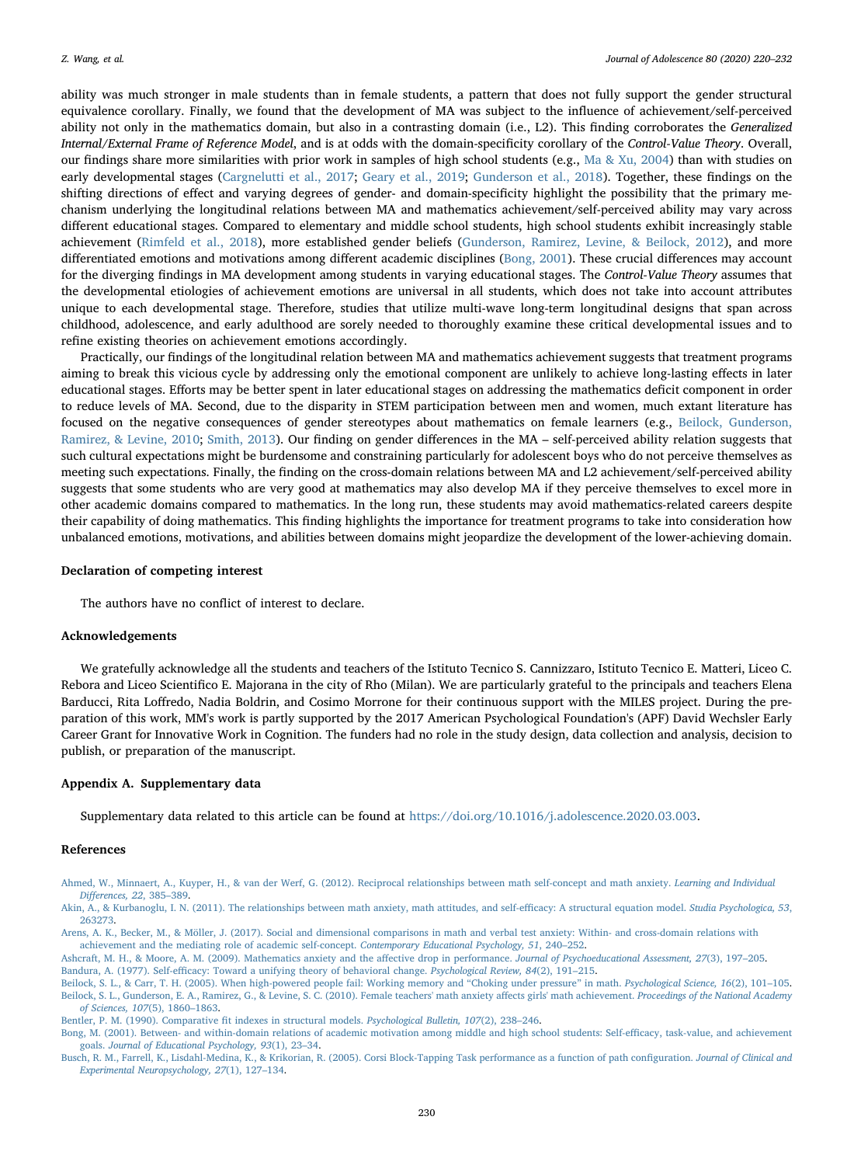ability was much stronger in male students than in female students, a pattern that does not fully support the gender structural equivalence corollary. Finally, we found that the development of MA was subject to the influence of achievement/self-perceived ability not only in the mathematics domain, but also in a contrasting domain (i.e., L2). This finding corroborates the Generalized Internal/External Frame of Reference Model, and is at odds with the domain-specificity corollary of the Control-Value Theory. Overall, our findings share more similarities with prior work in samples of high school students (e.g., [Ma & Xu, 2004\)](#page-11-10) than with studies on early developmental stages ([Cargnelutti et al., 2017;](#page-11-7) [Geary et al., 2019;](#page-11-19) [Gunderson et al., 2018](#page-11-9)). Together, these findings on the shifting directions of effect and varying degrees of gender- and domain-specificity highlight the possibility that the primary mechanism underlying the longitudinal relations between MA and mathematics achievement/self-perceived ability may vary across different educational stages. Compared to elementary and middle school students, high school students exhibit increasingly stable achievement [\(Rimfeld et al., 2018](#page-12-15)), more established gender beliefs ([Gunderson, Ramirez, Levine, & Beilock, 2012\)](#page-11-47), and more differentiated emotions and motivations among different academic disciplines [\(Bong, 2001](#page-10-6)). These crucial differences may account for the diverging findings in MA development among students in varying educational stages. The Control-Value Theory assumes that the developmental etiologies of achievement emotions are universal in all students, which does not take into account attributes unique to each developmental stage. Therefore, studies that utilize multi-wave long-term longitudinal designs that span across childhood, adolescence, and early adulthood are sorely needed to thoroughly examine these critical developmental issues and to refine existing theories on achievement emotions accordingly.

Practically, our findings of the longitudinal relation between MA and mathematics achievement suggests that treatment programs aiming to break this vicious cycle by addressing only the emotional component are unlikely to achieve long-lasting effects in later educational stages. Efforts may be better spent in later educational stages on addressing the mathematics deficit component in order to reduce levels of MA. Second, due to the disparity in STEM participation between men and women, much extant literature has focused on the negative consequences of gender stereotypes about mathematics on female learners (e.g., [Beilock, Gunderson,](#page-10-9) [Ramirez, & Levine, 2010](#page-10-9); [Smith, 2013\)](#page-12-20). Our finding on gender differences in the MA – self-perceived ability relation suggests that such cultural expectations might be burdensome and constraining particularly for adolescent boys who do not perceive themselves as meeting such expectations. Finally, the finding on the cross-domain relations between MA and L2 achievement/self-perceived ability suggests that some students who are very good at mathematics may also develop MA if they perceive themselves to excel more in other academic domains compared to mathematics. In the long run, these students may avoid mathematics-related careers despite their capability of doing mathematics. This finding highlights the importance for treatment programs to take into consideration how unbalanced emotions, motivations, and abilities between domains might jeopardize the development of the lower-achieving domain.

# Declaration of competing interest

The authors have no conflict of interest to declare.

# Acknowledgements

We gratefully acknowledge all the students and teachers of the Istituto Tecnico S. Cannizzaro, Istituto Tecnico E. Matteri, Liceo C. Rebora and Liceo Scientifico E. Majorana in the city of Rho (Milan). We are particularly grateful to the principals and teachers Elena Barducci, Rita Loffredo, Nadia Boldrin, and Cosimo Morrone for their continuous support with the MILES project. During the preparation of this work, MM's work is partly supported by the 2017 American Psychological Foundation's (APF) David Wechsler Early Career Grant for Innovative Work in Cognition. The funders had no role in the study design, data collection and analysis, decision to publish, or preparation of the manuscript.

## Appendix A. Supplementary data

Supplementary data related to this article can be found at [https://doi.org/10.1016/j.adolescence.2020.03.003.](https://doi.org/10.1016/j.adolescence.2020.03.003)

## References

<span id="page-10-0"></span>[Ahmed, W., Minnaert, A., Kuyper, H., & van der Werf, G. \(2012\). Reciprocal relationships between math self-concept and math anxiety.](http://refhub.elsevier.com/S0140-1971(20)30045-2/sref1) Learning and Individual Diff[erences, 22](http://refhub.elsevier.com/S0140-1971(20)30045-2/sref1), 385–389.

<span id="page-10-4"></span>[Akin, A., & Kurbanoglu, I. N. \(2011\). The relationships between math anxiety, math attitudes, and self-e](http://refhub.elsevier.com/S0140-1971(20)30045-2/sref2)fficacy: A structural equation model. Studia Psychologica, 53, [263273](http://refhub.elsevier.com/S0140-1971(20)30045-2/sref2).

<span id="page-10-3"></span><span id="page-10-1"></span>[Ashcraft, M. H., & Moore, A. M. \(2009\). Mathematics anxiety and the a](http://refhub.elsevier.com/S0140-1971(20)30045-2/sref4)ffective drop in performance. Journal of Psychoeducational Assessment, 27(3), 197–205. Bandura, A. (1977). Self-effi[cacy: Toward a unifying theory of behavioral change.](http://refhub.elsevier.com/S0140-1971(20)30045-2/sref5) Psychological Review, 84(2), 191–215.

<span id="page-10-6"></span>[Bong, M. \(2001\). Between- and within-domain relations of academic motivation among middle and high school students: Self-e](http://refhub.elsevier.com/S0140-1971(20)30045-2/sref9)fficacy, task-value, and achievement goals. [Journal of Educational Psychology, 93](http://refhub.elsevier.com/S0140-1971(20)30045-2/sref9)(1), 23–34.

<span id="page-10-7"></span>[Busch, R. M., Farrell, K., Lisdahl-Medina, K., & Krikorian, R. \(2005\). Corsi Block-Tapping Task performance as a function of path con](http://refhub.elsevier.com/S0140-1971(20)30045-2/sref10)figuration. Journal of Clinical and [Experimental Neuropsychology, 27](http://refhub.elsevier.com/S0140-1971(20)30045-2/sref10)(1), 127–134.

<span id="page-10-5"></span>[Arens, A. K., Becker, M., & Möller, J. \(2017\). Social and dimensional comparisons in math and verbal test anxiety: Within- and cross-domain relations with](http://refhub.elsevier.com/S0140-1971(20)30045-2/sref3) [achievement and the mediating role of academic self-concept.](http://refhub.elsevier.com/S0140-1971(20)30045-2/sref3) Contemporary Educational Psychology, 51, 240–252.

<span id="page-10-9"></span><span id="page-10-2"></span>[Beilock, S. L., & Carr, T. H. \(2005\). When high-powered people fail: Working memory and](http://refhub.elsevier.com/S0140-1971(20)30045-2/sref6) "Choking under pressure" in math. Psychological Science, 16(2), 101-105. [Beilock, S. L., Gunderson, E. A., Ramirez, G., & Levine, S. C. \(2010\). Female teachers' math anxiety a](http://refhub.elsevier.com/S0140-1971(20)30045-2/sref7)ffects girls' math achievement. Proceedings of the National Academy [of Sciences, 107](http://refhub.elsevier.com/S0140-1971(20)30045-2/sref7)(5), 1860–1863.

<span id="page-10-8"></span>[Bentler, P. M. \(1990\). Comparative](http://refhub.elsevier.com/S0140-1971(20)30045-2/sref8) fit indexes in structural models. Psychological Bulletin, 107(2), 238–246.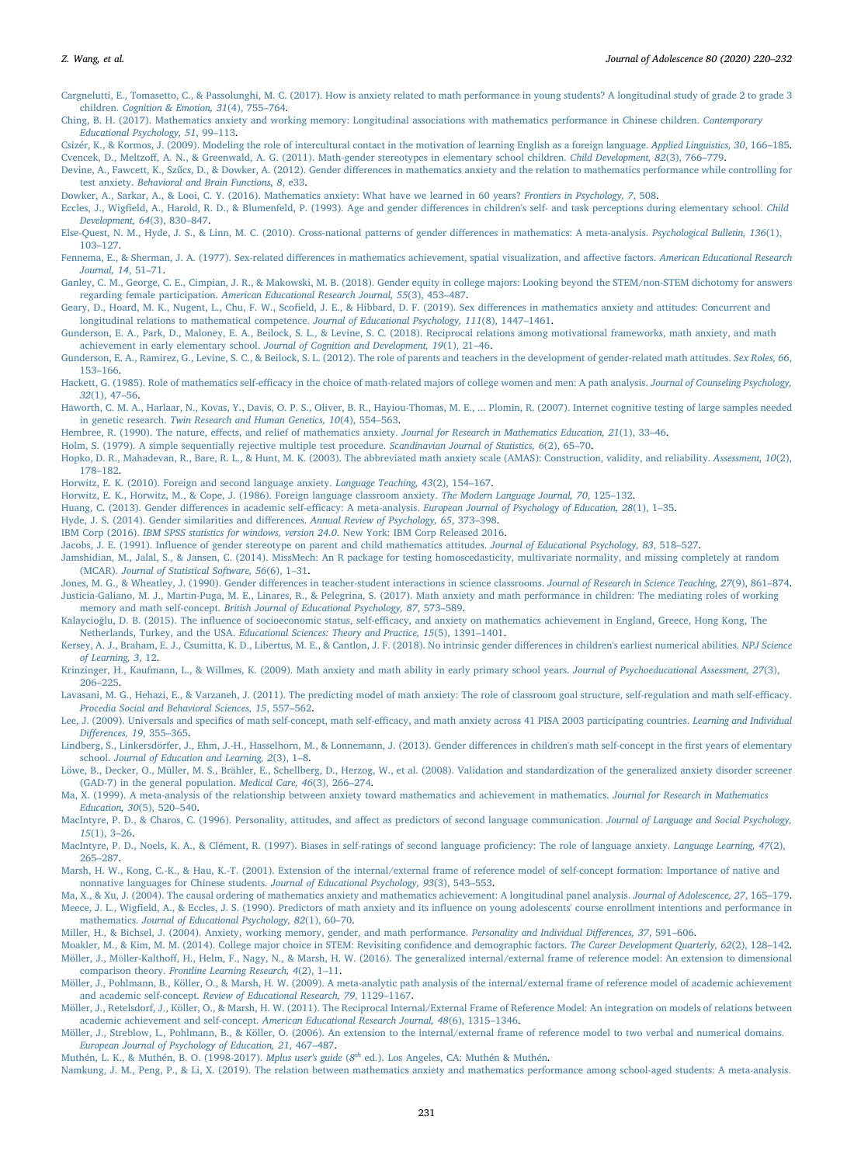<span id="page-11-7"></span>[Cargnelutti, E., Tomasetto, C., & Passolunghi, M. C. \(2017\). How is anxiety related to math performance in young students? A longitudinal study of grade 2 to grade 3](http://refhub.elsevier.com/S0140-1971(20)30045-2/sref11) children. [Cognition & Emotion, 31](http://refhub.elsevier.com/S0140-1971(20)30045-2/sref11)(4), 755–764.

<span id="page-11-8"></span>[Ching, B. H. \(2017\). Mathematics anxiety and working memory: Longitudinal associations with mathematics performance in Chinese children.](http://refhub.elsevier.com/S0140-1971(20)30045-2/sref12) Contemporary [Educational Psychology, 51](http://refhub.elsevier.com/S0140-1971(20)30045-2/sref12), 99–113.

<span id="page-11-41"></span><span id="page-11-24"></span>[Csizér, K., & Kormos, J. \(2009\). Modeling the role of intercultural contact in the motivation of learning English as a foreign language.](http://refhub.elsevier.com/S0140-1971(20)30045-2/sref13) Applied Linguistics, 30, 166–185. Cvencek, D., Meltzoff[, A. N., & Greenwald, A. G. \(2011\). Math-gender stereotypes in elementary school children.](http://refhub.elsevier.com/S0140-1971(20)30045-2/sref14) Child Development, 82(3), 766–779.

<span id="page-11-18"></span>Devine, A., Fawcett, K., Szűcs, D., & Dowker, A. (2012). Gender diff[erences in mathematics anxiety and the relation to mathematics performance while controlling for](http://refhub.elsevier.com/S0140-1971(20)30045-2/sref15) test anxiety. [Behavioral and Brain Functions, 8](http://refhub.elsevier.com/S0140-1971(20)30045-2/sref15), e33.

<span id="page-11-1"></span>[Dowker, A., Sarkar, A., & Looi, C. Y. \(2016\). Mathematics anxiety: What have we learned in 60 years?](http://refhub.elsevier.com/S0140-1971(20)30045-2/sref16) Frontiers in Psychology, 7, 508.

<span id="page-11-42"></span>Eccles, J., Wigfield, A., Harold, R. D., & Blumenfeld, P. (1993). Age and gender diff[erences in children's self- and task perceptions during elementary school.](http://refhub.elsevier.com/S0140-1971(20)30045-2/sref17) Child [Development, 64](http://refhub.elsevier.com/S0140-1971(20)30045-2/sref17)(3), 830–847.

<span id="page-11-15"></span>[Else-Quest, N. M., Hyde, J. S., & Linn, M. C. \(2010\). Cross-national patterns of gender di](http://refhub.elsevier.com/S0140-1971(20)30045-2/sref18)fferences in mathematics: A meta-analysis. Psychological Bulletin, 136(1), 103–[127.](http://refhub.elsevier.com/S0140-1971(20)30045-2/sref18)

<span id="page-11-44"></span>Fennema, E., & Sherman, J. A. (1977). Sex-related diff[erences in mathematics achievement, spatial visualization, and a](http://refhub.elsevier.com/S0140-1971(20)30045-2/sref19)ffective factors. American Educational Research [Journal, 14](http://refhub.elsevier.com/S0140-1971(20)30045-2/sref19), 51–71.

<span id="page-11-29"></span>[Ganley, C. M., George, C. E., Cimpian, J. R., & Makowski, M. B. \(2018\). Gender equity in college majors: Looking beyond the STEM/non-STEM dichotomy for answers](http://refhub.elsevier.com/S0140-1971(20)30045-2/sref20) regarding female participation. [American Educational Research Journal, 55](http://refhub.elsevier.com/S0140-1971(20)30045-2/sref20)(3), 453–487.

<span id="page-11-19"></span>Geary, D., Hoard, M. K., Nugent, L., Chu, F. W., Scofield, J. E., & Hibbard, D. F. (2019). Sex diff[erences in mathematics anxiety and attitudes: Concurrent and](http://refhub.elsevier.com/S0140-1971(20)30045-2/sref21) [longitudinal relations to mathematical competence.](http://refhub.elsevier.com/S0140-1971(20)30045-2/sref21) Journal of Educational Psychology, 111(8), 1447–1461.

<span id="page-11-9"></span>[Gunderson, E. A., Park, D., Maloney, E. A., Beilock, S. L., & Levine, S. C. \(2018\). Reciprocal relations among motivational frameworks, math anxiety, and math](http://refhub.elsevier.com/S0140-1971(20)30045-2/sref22) [achievement in early elementary school.](http://refhub.elsevier.com/S0140-1971(20)30045-2/sref22) Journal of Cognition and Development, 19(1), 21–46.

<span id="page-11-47"></span>[Gunderson, E. A., Ramirez, G., Levine, S. C., & Beilock, S. L. \(2012\). The role of parents and teachers in the development of gender-related math attitudes.](http://refhub.elsevier.com/S0140-1971(20)30045-2/sref23) Sex Roles, 66, 153–[166.](http://refhub.elsevier.com/S0140-1971(20)30045-2/sref23)

<span id="page-11-30"></span>Hackett, G. (1985). Role of mathematics self-effi[cacy in the choice of math-related majors of college women and men: A path analysis.](http://refhub.elsevier.com/S0140-1971(20)30045-2/sref24) Journal of Counseling Psychology, 32[\(1\), 47](http://refhub.elsevier.com/S0140-1971(20)30045-2/sref24)–56.

<span id="page-11-33"></span>[Haworth, C. M. A., Harlaar, N., Kovas, Y., Davis, O. P. S., Oliver, B. R., Hayiou-Thomas, M. E., ... Plomin, R. \(2007\). Internet cognitive testing of large samples needed](http://refhub.elsevier.com/S0140-1971(20)30045-2/sref25) in genetic research. [Twin Research and Human Genetics, 10](http://refhub.elsevier.com/S0140-1971(20)30045-2/sref25)(4), 554–563.

<span id="page-11-2"></span>Hembree, R. (1990). The nature, effects, and relief of mathematics anxiety. [Journal for Research in Mathematics Education, 21](http://refhub.elsevier.com/S0140-1971(20)30045-2/sref26)(1), 33–46.

<span id="page-11-36"></span>[Holm, S. \(1979\). A simple sequentially rejective multiple test procedure.](http://refhub.elsevier.com/S0140-1971(20)30045-2/sref27) Scandinavian Journal of Statistics, 6(2), 65–70.

<span id="page-11-0"></span>[Hopko, D. R., Mahadevan, R., Bare, R. L., & Hunt, M. K. \(2003\). The abbreviated math anxiety scale \(AMAS\): Construction, validity, and reliability.](http://refhub.elsevier.com/S0140-1971(20)30045-2/sref28) Assessment, 10(2), 178–[182.](http://refhub.elsevier.com/S0140-1971(20)30045-2/sref28)

<span id="page-11-26"></span>[Horwitz, E. K. \(2010\). Foreign and second language anxiety.](http://refhub.elsevier.com/S0140-1971(20)30045-2/sref29) Language Teaching, 43(2), 154–167.

<span id="page-11-25"></span>[Horwitz, E. K., Horwitz, M., & Cope, J. \(1986\). Foreign language classroom anxiety.](http://refhub.elsevier.com/S0140-1971(20)30045-2/sref30) The Modern Language Journal, 70, 125–132.

<span id="page-11-45"></span>Huang, C. (2013). Gender differences in academic self-efficacy: A meta-analysis. [European Journal of Psychology of Education, 28](http://refhub.elsevier.com/S0140-1971(20)30045-2/sref31)(1), 1–35.

<span id="page-11-16"></span>[Hyde, J. S. \(2014\). Gender similarities and di](http://refhub.elsevier.com/S0140-1971(20)30045-2/sref32)fferences. Annual Review of Psychology, 65, 373–398.

<span id="page-11-34"></span>IBM Corp (2016). [IBM SPSS statistics for windows, version 24.0.](http://refhub.elsevier.com/S0140-1971(20)30045-2/sref33) New York: IBM Corp Released 2016.

<span id="page-11-39"></span>Jacobs, J. E. (1991). Infl[uence of gender stereotype on parent and child mathematics attitudes.](http://refhub.elsevier.com/S0140-1971(20)30045-2/sref34) Journal of Educational Psychology, 83, 518-527.

<span id="page-11-37"></span>[Jamshidian, M., Jalal, S., & Jansen, C. \(2014\). MissMech: An R package for testing homoscedasticity, multivariate normality, and missing completely at random](http://refhub.elsevier.com/S0140-1971(20)30045-2/sref35) (MCAR). [Journal of Statistical Software, 56](http://refhub.elsevier.com/S0140-1971(20)30045-2/sref35)(6), 1–31.

<span id="page-11-40"></span><span id="page-11-11"></span>Jones, M. G., & Wheatley, J. (1990). Gender diff[erences in teacher-student interactions in science classrooms.](http://refhub.elsevier.com/S0140-1971(20)30045-2/sref36) Journal of Research in Science Teaching, 27(9), 861-874. Justicia-Galiano, M. J., Martί[n-Puga, M. E., Linares, R., & Pelegrina, S. \(2017\). Math anxiety and math performance in children: The mediating roles of working](http://refhub.elsevier.com/S0140-1971(20)30045-2/sref37) memory and math self-concept. [British Journal of Educational Psychology, 87](http://refhub.elsevier.com/S0140-1971(20)30045-2/sref37), 573–589.

<span id="page-11-5"></span>Kalaycioğlu, D. B. (2015). The influence of socioeconomic status, self-effi[cacy, and anxiety on mathematics achievement in England, Greece, Hong Kong, The](http://refhub.elsevier.com/S0140-1971(20)30045-2/sref38) Netherlands, Turkey, and the USA. [Educational Sciences: Theory and Practice, 15](http://refhub.elsevier.com/S0140-1971(20)30045-2/sref38)(5), 1391–1401.

<span id="page-11-38"></span>[Kersey, A. J., Braham, E. J., Csumitta, K. D., Libertus, M. E., & Cantlon, J. F. \(2018\). No intrinsic gender di](http://refhub.elsevier.com/S0140-1971(20)30045-2/sref39)fferences in children's earliest numerical abilities. NPJ Science [of Learning, 3](http://refhub.elsevier.com/S0140-1971(20)30045-2/sref39), 12.

<span id="page-11-14"></span>[Krinzinger, H., Kaufmann, L., & Willmes, K. \(2009\). Math anxiety and math ability in early primary school years.](http://refhub.elsevier.com/S0140-1971(20)30045-2/sref40) Journal of Psychoeducational Assessment, 27(3), 206–[225.](http://refhub.elsevier.com/S0140-1971(20)30045-2/sref40)

<span id="page-11-12"></span>[Lavasani, M. G., Hehazi, E., & Varzaneh, J. \(2011\). The predicting model of math anxiety: The role of classroom goal structure, self-regulation and math self-e](http://refhub.elsevier.com/S0140-1971(20)30045-2/sref41)fficacy. [Procedia Social and Behavioral Sciences, 15](http://refhub.elsevier.com/S0140-1971(20)30045-2/sref41), 557–562.

<span id="page-11-6"></span>Lee, J. (2009). Universals and specifics of math self-concept, math self-effi[cacy, and math anxiety across 41 PISA 2003 participating countries.](http://refhub.elsevier.com/S0140-1971(20)30045-2/sref42) Learning and Individual Diff[erences, 19](http://refhub.elsevier.com/S0140-1971(20)30045-2/sref42), 355–365.

<span id="page-11-43"></span>Lindberg, S., Linkersdӧ[rfer, J., Ehm, J.-H., Hasselhorn, M., & Lonnemann, J. \(2013\). Gender di](http://refhub.elsevier.com/S0140-1971(20)30045-2/sref43)fferences in children's math self-concept in the first years of elementary school. [Journal of Education and Learning, 2](http://refhub.elsevier.com/S0140-1971(20)30045-2/sref43)(3), 1–8.

<span id="page-11-32"></span>[Löwe, B., Decker, O., Müller, M. S., Brähler, E., Schellberg, D., Herzog, W., et al. \(2008\). Validation and standardization of the generalized anxiety disorder screener](http://refhub.elsevier.com/S0140-1971(20)30045-2/sref44) [\(GAD-7\) in the general population.](http://refhub.elsevier.com/S0140-1971(20)30045-2/sref44) Medical Care, 46(3), 266–274.

<span id="page-11-3"></span>[Ma, X. \(1999\). A meta-analysis of the relationship between anxiety toward mathematics and achievement in mathematics.](http://refhub.elsevier.com/S0140-1971(20)30045-2/sref45) Journal for Research in Mathematics [Education, 30](http://refhub.elsevier.com/S0140-1971(20)30045-2/sref45)(5), 520–540.

<span id="page-11-27"></span>[MacIntyre, P. D., & Charos, C. \(1996\). Personality, attitudes, and a](http://refhub.elsevier.com/S0140-1971(20)30045-2/sref46)ffect as predictors of second language communication. Journal of Language and Social Psychology, 15[\(1\), 3](http://refhub.elsevier.com/S0140-1971(20)30045-2/sref46)–26.

<span id="page-11-28"></span>[MacIntyre, P. D., Noels, K. A., & Clément, R. \(1997\). Biases in self-ratings of second language pro](http://refhub.elsevier.com/S0140-1971(20)30045-2/sref47)ficiency: The role of language anxiety. Language Learning, 47(2), 265–[287.](http://refhub.elsevier.com/S0140-1971(20)30045-2/sref47)

<span id="page-11-22"></span>Marsh, [H. W., Kong, C.-K., & Hau, K.-T. \(2001\). Extension of the internal/external frame of reference model of self-concept formation: Importance of native and](http://refhub.elsevier.com/S0140-1971(20)30045-2/sref48) [nonnative languages for Chinese students.](http://refhub.elsevier.com/S0140-1971(20)30045-2/sref48) Journal of Educational Psychology, 93(3), 543–553.

<span id="page-11-13"></span><span id="page-11-10"></span>[Ma, X., & Xu, J. \(2004\). The causal ordering of mathematics anxiety and mathematics achievement: A longitudinal panel analysis.](http://refhub.elsevier.com/S0140-1971(20)30045-2/sref49) Journal of Adolescence, 27, 165–179. Meece, J. L., Wigfield, A., & Eccles, J. S. (1990). Predictors of math anxiety and its infl[uence on young adolescents' course enrollment intentions and performance in](http://refhub.elsevier.com/S0140-1971(20)30045-2/sref50) mathematics. [Journal of Educational Psychology, 82](http://refhub.elsevier.com/S0140-1971(20)30045-2/sref50)(1), 60–70.

<span id="page-11-17"></span>[Miller, H., & Bichsel, J. \(2004\). Anxiety, working memory, gender, and math performance.](http://refhub.elsevier.com/S0140-1971(20)30045-2/sref51) Personality and Individual Differences, 37, 591–606.

<span id="page-11-31"></span><span id="page-11-20"></span>[Moakler, M., & Kim, M. M. \(2014\). College major choice in STEM: Revisiting con](http://refhub.elsevier.com/S0140-1971(20)30045-2/sref52)fidence and demographic factors. The Career Development Quarterly, 62(2), 128–142. Möller, J., Mϋller-Kalthoff[, H., Helm, F., Nagy, N., & Marsh, H. W. \(2016\). The generalized internal/external frame of reference model: An extension to dimensional](http://refhub.elsevier.com/S0140-1971(20)30045-2/sref53) comparison theory. [Frontline Learning Research, 4](http://refhub.elsevier.com/S0140-1971(20)30045-2/sref53)(2), 1–11.

<span id="page-11-46"></span>[Möller, J., Pohlmann, B., Köller, O., & Marsh, H. W. \(2009\). A meta-analytic path analysis of the internal/external frame of reference model of academic achievement](http://refhub.elsevier.com/S0140-1971(20)30045-2/sref54) and academic self-concept. [Review of Educational Research, 79](http://refhub.elsevier.com/S0140-1971(20)30045-2/sref54), 1129–1167.

<span id="page-11-21"></span>[Möller, J., Retelsdorf, J., Köller, O., & Marsh, H. W. \(2011\). The Reciprocal Internal/External Frame of Reference Model: An integration on models of relations between](http://refhub.elsevier.com/S0140-1971(20)30045-2/sref55) academic achievement and self-concept. [American Educational Research Journal, 48](http://refhub.elsevier.com/S0140-1971(20)30045-2/sref55)(6), 1315–1346.

<span id="page-11-23"></span>[Möller, J., Streblow, L., Pohlmann, B., & Köller, O. \(2006\). An extension to the internal/external frame of reference model to two verbal and numerical domains.](http://refhub.elsevier.com/S0140-1971(20)30045-2/sref56) [European Journal of Psychology of Education, 21](http://refhub.elsevier.com/S0140-1971(20)30045-2/sref56), 467–487.

<span id="page-11-35"></span>[Muthén, L. K., & Muthén, B. O. \(1998-2017\).](http://refhub.elsevier.com/S0140-1971(20)30045-2/sref57) Mplus user's guide (8<sup>th</sup> ed.). Los Angeles, CA: Muthén & Muthén.

<span id="page-11-4"></span>[Namkung, J. M., Peng, P., & Li, X. \(2019\). The relation between mathematics anxiety and mathematics performance among school-aged students: A meta-analysis.](http://refhub.elsevier.com/S0140-1971(20)30045-2/sref58)